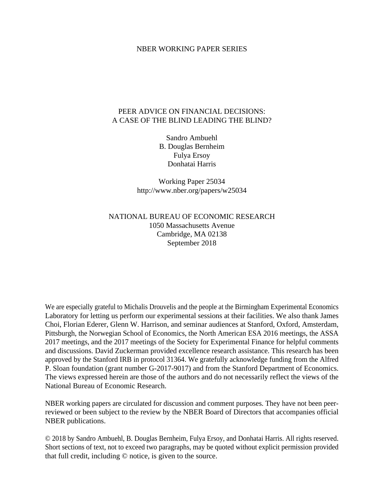#### NBER WORKING PAPER SERIES

### PEER ADVICE ON FINANCIAL DECISIONS: A CASE OF THE BLIND LEADING THE BLIND?

Sandro Ambuehl B. Douglas Bernheim Fulya Ersoy Donhatai Harris

Working Paper 25034 http://www.nber.org/papers/w25034

## NATIONAL BUREAU OF ECONOMIC RESEARCH 1050 Massachusetts Avenue Cambridge, MA 02138 September 2018

We are especially grateful to Michalis Drouvelis and the people at the Birmingham Experimental Economics Laboratory for letting us perform our experimental sessions at their facilities. We also thank James Choi, Florian Ederer, Glenn W. Harrison, and seminar audiences at Stanford, Oxford, Amsterdam, Pittsburgh, the Norwegian School of Economics, the North American ESA 2016 meetings, the ASSA 2017 meetings, and the 2017 meetings of the Society for Experimental Finance for helpful comments and discussions. David Zuckerman provided excellence research assistance. This research has been approved by the Stanford IRB in protocol 31364. We gratefully acknowledge funding from the Alfred P. Sloan foundation (grant number G-2017-9017) and from the Stanford Department of Economics. The views expressed herein are those of the authors and do not necessarily reflect the views of the National Bureau of Economic Research.

NBER working papers are circulated for discussion and comment purposes. They have not been peerreviewed or been subject to the review by the NBER Board of Directors that accompanies official NBER publications.

© 2018 by Sandro Ambuehl, B. Douglas Bernheim, Fulya Ersoy, and Donhatai Harris. All rights reserved. Short sections of text, not to exceed two paragraphs, may be quoted without explicit permission provided that full credit, including © notice, is given to the source.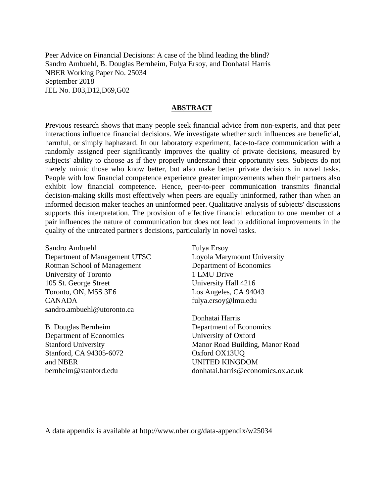Peer Advice on Financial Decisions: A case of the blind leading the blind? Sandro Ambuehl, B. Douglas Bernheim, Fulya Ersoy, and Donhatai Harris NBER Working Paper No. 25034 September 2018 JEL No. D03,D12,D69,G02

### **ABSTRACT**

Previous research shows that many people seek financial advice from non-experts, and that peer interactions influence financial decisions. We investigate whether such influences are beneficial, harmful, or simply haphazard. In our laboratory experiment, face-to-face communication with a randomly assigned peer significantly improves the quality of private decisions, measured by subjects' ability to choose as if they properly understand their opportunity sets. Subjects do not merely mimic those who know better, but also make better private decisions in novel tasks. People with low financial competence experience greater improvements when their partners also exhibit low financial competence. Hence, peer-to-peer communication transmits financial decision-making skills most effectively when peers are equally uninformed, rather than when an informed decision maker teaches an uninformed peer. Qualitative analysis of subjects' discussions supports this interpretation. The provision of effective financial education to one member of a pair influences the nature of communication but does not lead to additional improvements in the quality of the untreated partner's decisions, particularly in novel tasks.

Sandro Ambuehl Department of Management UTSC Rotman School of Management University of Toronto 105 St. George Street Toronto, ON, M5S 3E6 CANADA sandro.ambuehl@utoronto.ca

B. Douglas Bernheim Department of Economics Stanford University Stanford, CA 94305-6072 and NBER bernheim@stanford.edu

Fulya Ersoy Loyola Marymount University Department of Economics 1 LMU Drive University Hall 4216 Los Angeles, CA 94043 fulya.ersoy@lmu.edu

Donhatai Harris Department of Economics University of Oxford Manor Road Building, Manor Road Oxford OX13UQ UNITED KINGDOM donhatai.harris@economics.ox.ac.uk

A data appendix is available at http://www.nber.org/data-appendix/w25034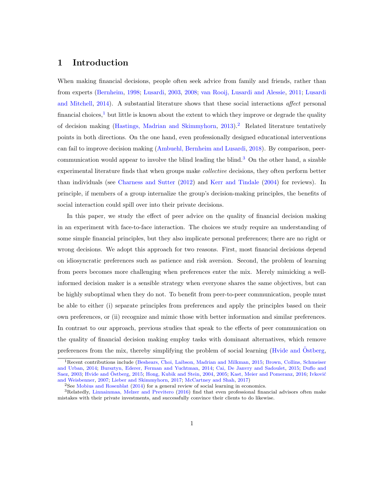# 1 Introduction

When making financial decisions, people often seek advice from family and friends, rather than from experts (Bernheim, 1998; Lusardi, 2003, 2008; van Rooij, Lusardi and Alessie, 2011; Lusardi and Mitchell, 2014). A substantial literature shows that these social interactions *affect* personal financial choices,<sup>1</sup> but little is known about the extent to which they improve or degrade the quality of decision making (Hastings, Madrian and Skimmyhorn, 2013).<sup>2</sup> Related literature tentatively points in both directions. On the one hand, even professionally designed educational interventions can fail to improve decision making (Ambuehl, Bernheim and Lusardi, 2018). By comparison, peercommunication would appear to involve the blind leading the blind.<sup>3</sup> On the other hand, a sizable experimental literature finds that when groups make *collective* decisions, they often perform better than individuals (see Charness and Sutter (2012) and Kerr and Tindale (2004) for reviews). In principle, if members of a group internalize the group's decision-making principles, the benefits of social interaction could spill over into their private decisions.

In this paper, we study the effect of peer advice on the quality of financial decision making in an experiment with face-to-face interaction. The choices we study require an understanding of some simple financial principles, but they also implicate personal preferences; there are no right or wrong decisions. We adopt this approach for two reasons. First, most financial decisions depend on idiosyncratic preferences such as patience and risk aversion. Second, the problem of learning from peers becomes more challenging when preferences enter the mix. Merely mimicking a wellinformed decision maker is a sensible strategy when everyone shares the same objectives, but can be highly suboptimal when they do not. To benefit from peer-to-peer communication, people must be able to either (i) separate principles from preferences and apply the principles based on their own preferences, or (ii) recognize and mimic those with better information and similar preferences. In contrast to our approach, previous studies that speak to the effects of peer communication on the quality of financial decision making employ tasks with dominant alternatives, which remove preferences from the mix, thereby simplifying the problem of social learning (Hvide and Östberg,

<sup>&</sup>lt;sup>1</sup>Recent contributions include (Beshears, Choi, Laibson, Madrian and Milkman, 2015; Brown, Collins, Schmeiser and Urban, 2014; Bursztyn, Ederer, Ferman and Yuchtman, 2014; Cai, De Janvry and Sadoulet, 2015; Duflo and Saez, 2003; Hvide and Östberg, 2015; Hong, Kubik and Stein, 2004, 2005; Kast, Meier and Pomeranz, 2016; Ivković and Weisbenner, 2007; Lieber and Skimmyhorn, 2017; McCartney and Shah, 2017)

<sup>&</sup>lt;sup>2</sup>See Mobius and Rosenblat (2014) for a general review of social learning in economics.

<sup>3</sup>Relatedly, Linnainmaa, Melzer and Previtero (2016) find that even professional financial advisors often make mistakes with their private investments, and successfully convince their clients to do likewise.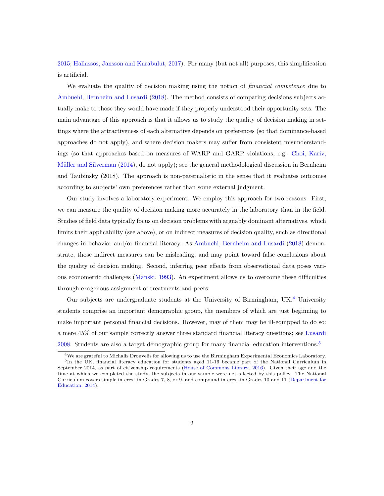2015; Haliassos, Jansson and Karabulut, 2017). For many (but not all) purposes, this simplification is artificial.

We evaluate the quality of decision making using the notion of *financial competence* due to Ambuehl, Bernheim and Lusardi (2018). The method consists of comparing decisions subjects actually make to those they would have made if they properly understood their opportunity sets. The main advantage of this approach is that it allows us to study the quality of decision making in settings where the attractiveness of each alternative depends on preferences (so that dominance-based approaches do not apply), and where decision makers may suffer from consistent misunderstandings (so that approaches based on measures of WARP and GARP violations, e.g. Choi, Kariv, Müller and Silverman (2014), do not apply); see the general methodological discussion in Bernheim and Taubinsky (2018). The approach is non-paternalistic in the sense that it evaluates outcomes according to subjects' own preferences rather than some external judgment.

Our study involves a laboratory experiment. We employ this approach for two reasons. First, we can measure the quality of decision making more accurately in the laboratory than in the field. Studies of field data typically focus on decision problems with arguably dominant alternatives, which limits their applicability (see above), or on indirect measures of decision quality, such as directional changes in behavior and/or financial literacy. As Ambuehl, Bernheim and Lusardi (2018) demonstrate, those indirect measures can be misleading, and may point toward false conclusions about the quality of decision making. Second, inferring peer effects from observational data poses various econometric challenges (Manski, 1993). An experiment allows us to overcome these difficulties through exogenous assignment of treatments and peers.

Our subjects are undergraduate students at the University of Birmingham, UK.<sup>4</sup> University students comprise an important demographic group, the members of which are just beginning to make important personal financial decisions. However, may of them may be ill-equipped to do so: a mere 45% of our sample correctly answer three standard financial literacy questions; see Lusardi 2008. Students are also a target demographic group for many financial education interventions.<sup>5</sup>

<sup>4</sup>We are grateful to Michalis Drouvelis for allowing us to use the Birmingham Experimental Economics Laboratory. <sup>5</sup>In the UK, financial literacy education for students aged 11-16 became part of the National Curriculum in September 2014, as part of citizenship requirements (House of Commons Library, 2016). Given their age and the time at which we completed the study, the subjects in our sample were not affected by this policy. The National Curriculum covers simple interest in Grades 7, 8, or 9, and compound interest in Grades 10 and 11 (Department for Education, 2014).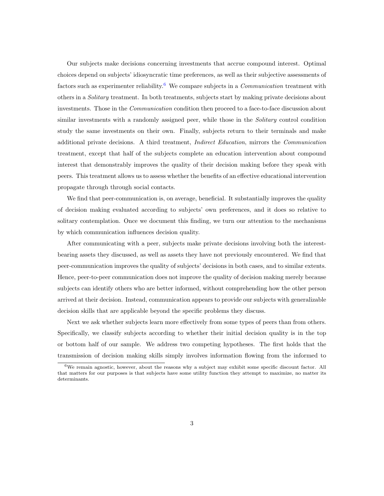Our subjects make decisions concerning investments that accrue compound interest. Optimal choices depend on subjects' idiosyncratic time preferences, as well as their subjective assessments of factors such as experimenter reliability.<sup>6</sup> We compare subjects in a *Communication* treatment with others in a *Solitary* treatment. In both treatments, subjects start by making private decisions about investments. Those in the *Communication* condition then proceed to a face-to-face discussion about similar investments with a randomly assigned peer, while those in the *Solitary* control condition study the same investments on their own. Finally, subjects return to their terminals and make additional private decisions. A third treatment, *Indirect Education*, mirrors the *Communication* treatment, except that half of the subjects complete an education intervention about compound interest that demonstrably improves the quality of their decision making before they speak with peers. This treatment allows us to assess whether the benefits of an effective educational intervention propagate through through social contacts.

We find that peer-communication is, on average, beneficial. It substantially improves the quality of decision making evaluated according to subjects' own preferences, and it does so relative to solitary contemplation. Once we document this finding, we turn our attention to the mechanisms by which communication influences decision quality.

After communicating with a peer, subjects make private decisions involving both the interestbearing assets they discussed, as well as assets they have not previously encountered. We find that peer-communication improves the quality of subjects' decisions in both cases, and to similar extents. Hence, peer-to-peer communication does not improve the quality of decision making merely because subjects can identify others who are better informed, without comprehending how the other person arrived at their decision. Instead, communication appears to provide our subjects with generalizable decision skills that are applicable beyond the specific problems they discuss.

Next we ask whether subjects learn more effectively from some types of peers than from others. Specifically, we classify subjects according to whether their initial decision quality is in the top or bottom half of our sample. We address two competing hypotheses. The first holds that the transmission of decision making skills simply involves information flowing from the informed to

 $6W$ e remain agnostic, however, about the reasons why a subject may exhibit some specific discount factor. All that matters for our purposes is that subjects have some utility function they attempt to maximize, no matter its determinants.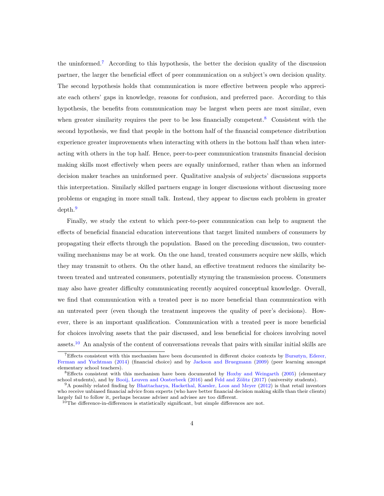the uninformed.<sup>7</sup> According to this hypothesis, the better the decision quality of the discussion partner, the larger the beneficial effect of peer communication on a subject's own decision quality. The second hypothesis holds that communication is more effective between people who appreciate each others' gaps in knowledge, reasons for confusion, and preferred pace. According to this hypothesis, the benefits from communication may be largest when peers are most similar, even when greater similarity requires the peer to be less financially competent.<sup>8</sup> Consistent with the second hypothesis, we find that people in the bottom half of the financial competence distribution experience greater improvements when interacting with others in the bottom half than when interacting with others in the top half. Hence, peer-to-peer communication transmits financial decision making skills most effectively when peers are equally uninformed, rather than when an informed decision maker teaches an uninformed peer. Qualitative analysis of subjects' discussions supports this interpretation. Similarly skilled partners engage in longer discussions without discussing more problems or engaging in more small talk. Instead, they appear to discuss each problem in greater depth.<sup>9</sup>

Finally, we study the extent to which peer-to-peer communication can help to augment the effects of beneficial financial education interventions that target limited numbers of consumers by propagating their effects through the population. Based on the preceding discussion, two countervailing mechanisms may be at work. On the one hand, treated consumers acquire new skills, which they may transmit to others. On the other hand, an effective treatment reduces the similarity between treated and untreated consumers, potentially stymying the transmission process. Consumers may also have greater difficulty communicating recently acquired conceptual knowledge. Overall, we find that communication with a treated peer is no more beneficial than communication with an untreated peer (even though the treatment improves the quality of peer's decisions). However, there is an important qualification. Communication with a treated peer is more beneficial for choices involving assets that the pair discussed, and less beneficial for choices involving novel assets.<sup>10</sup> An analysis of the content of conversations reveals that pairs with similar initial skills are

<sup>&</sup>lt;sup>7</sup>Effects consistent with this mechanism have been documented in different choice contexts by Bursztyn, Ederer, Ferman and Yuchtman (2014) (financial choice) and by Jackson and Bruegmann (2009) (peer learning amongst elementary school teachers).

 $8E$  Effects consistent with this mechanism have been documented by Hoxby and Weingarth (2005) (elementary school students), and by Booij, Leuven and Oosterbeek (2016) and Feld and Zölitz (2017) (university students).

<sup>9</sup>A possibly related finding by Bhattacharya, Hackethal, Kaesler, Loos and Meyer (2012) is that retail investors who receive unbiased financial advice from experts (who have better financial decision making skills than their clients) largely fail to follow it, perhaps because adviser and advisee are too different.

 $10$ The difference-in-differences is statistically significant, but simple differences are not.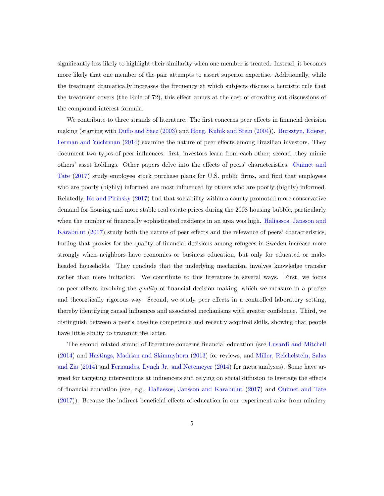significantly less likely to highlight their similarity when one member is treated. Instead, it becomes more likely that one member of the pair attempts to assert superior expertise. Additionally, while the treatment dramatically increases the frequency at which subjects discuss a heuristic rule that the treatment covers (the Rule of 72), this effect comes at the cost of crowding out discussions of the compound interest formula.

We contribute to three strands of literature. The first concerns peer effects in financial decision making (starting with Duflo and Saez (2003) and Hong, Kubik and Stein (2004)). Bursztyn, Ederer, Ferman and Yuchtman (2014) examine the nature of peer effects among Brazilian investors. They document two types of peer influences: first, investors learn from each other; second, they mimic others' asset holdings. Other papers delve into the effects of peers' characteristics. Ouimet and Tate (2017) study employee stock purchase plans for U.S. public firms, and find that employees who are poorly (highly) informed are most influenced by others who are poorly (highly) informed. Relatedly, Ko and Pirinsky (2017) find that sociability within a county promoted more conservative demand for housing and more stable real estate prices during the 2008 housing bubble, particularly when the number of financially sophisticated residents in an area was high. Haliassos, Jansson and Karabulut (2017) study both the nature of peer effects and the relevance of peers' characteristics, finding that proxies for the quality of financial decisions among refugees in Sweden increase more strongly when neighbors have economics or business education, but only for educated or maleheaded households. They conclude that the underlying mechanism involves knowledge transfer rather than mere imitation. We contribute to this literature in several ways. First, we focus on peer effects involving the *quality* of financial decision making, which we measure in a precise and theoretically rigorous way. Second, we study peer effects in a controlled laboratory setting, thereby identifying causal influences and associated mechanisms with greater confidence. Third, we distinguish between a peer's baseline competence and recently acquired skills, showing that people have little ability to transmit the latter.

The second related strand of literature concerns financial education (see Lusardi and Mitchell (2014) and Hastings, Madrian and Skimmyhorn (2013) for reviews, and Miller, Reichelstein, Salas and Zia (2014) and Fernandes, Lynch Jr. and Netemeyer (2014) for meta analyses). Some have argued for targeting interventions at influencers and relying on social diffusion to leverage the effects of financial education (see, e.g., Haliassos, Jansson and Karabulut (2017) and Ouimet and Tate  $(2017)$ ). Because the indirect beneficial effects of education in our experiment arise from mimicry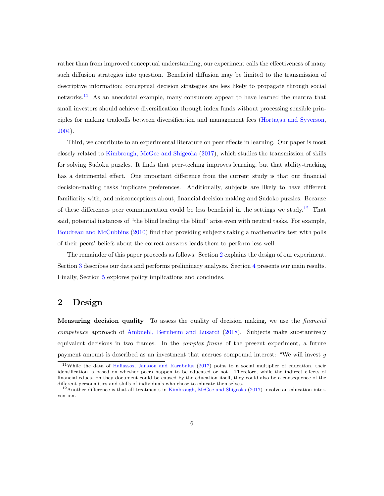rather than from improved conceptual understanding, our experiment calls the effectiveness of many such diffusion strategies into question. Beneficial diffusion may be limited to the transmission of descriptive information; conceptual decision strategies are less likely to propagate through social networks.<sup>11</sup> As an anecdotal example, many consumers appear to have learned the mantra that small investors should achieve diversification through index funds without processing sensible principles for making tradeoffs between diversification and management fees (Hortaçsu and Syverson, 2004).

Third, we contribute to an experimental literature on peer effects in learning. Our paper is most closely related to Kimbrough, McGee and Shigeoka (2017), which studies the transmission of skills for solving Sudoku puzzles. It finds that peer-teching improves learning, but that ability-tracking has a detrimental effect. One important difference from the current study is that our financial decision-making tasks implicate preferences. Additionally, subjects are likely to have different familiarity with, and misconceptions about, financial decision making and Sudoko puzzles. Because of these differences peer communication could be less beneficial in the settings we study.<sup>12</sup> That said, potential instances of "the blind leading the blind" arise even with neutral tasks. For example, Boudreau and McCubbins (2010) find that providing subjects taking a mathematics test with polls of their peers' beliefs about the correct answers leads them to perform less well.

The remainder of this paper proceeds as follows. Section 2 explains the design of our experiment. Section 3 describes our data and performs preliminary analyses. Section 4 presents our main results. Finally, Section 5 explores policy implications and concludes.

# 2 Design

Measuring decision quality To assess the quality of decision making, we use the *financial competence* approach of Ambuehl, Bernheim and Lusardi (2018). Subjects make substantively equivalent decisions in two frames. In the *complex frame* of the present experiment, a future payment amount is described as an investment that accrues compound interest: "We will invest *y*

<sup>11</sup>While the data of Haliassos, Jansson and Karabulut (2017) point to a social multiplier of education, their identification is based on whether peers happen to be educated or not. Therefore, while the indirect effects of financial education they document could be caused by the education itself, they could also be a consequence of the different personalities and skills of individuals who chose to educate themselves.

 $12$ Another difference is that all treatments in Kimbrough, McGee and Shigeoka (2017) involve an education intervention.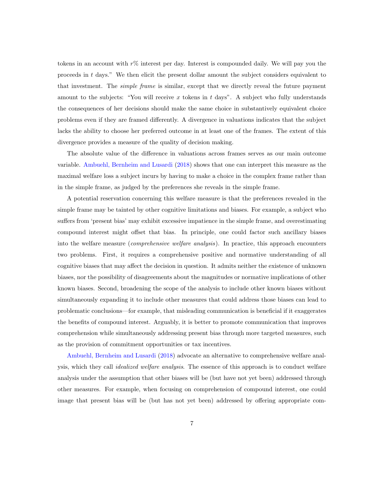tokens in an account with *r*% interest per day. Interest is compounded daily. We will pay you the proceeds in *t* days." We then elicit the present dollar amount the subject considers equivalent to that investment. The *simple frame* is similar, except that we directly reveal the future payment amount to the subjects: "You will receive *x* tokens in *t* days". A subject who fully understands the consequences of her decisions should make the same choice in substantively equivalent choice problems even if they are framed differently. A divergence in valuations indicates that the subject lacks the ability to choose her preferred outcome in at least one of the frames. The extent of this divergence provides a measure of the quality of decision making.

The absolute value of the difference in valuations across frames serves as our main outcome variable. Ambuehl, Bernheim and Lusardi (2018) shows that one can interpret this measure as the maximal welfare loss a subject incurs by having to make a choice in the complex frame rather than in the simple frame, as judged by the preferences she reveals in the simple frame.

A potential reservation concerning this welfare measure is that the preferences revealed in the simple frame may be tainted by other cognitive limitations and biases. For example, a subject who suffers from 'present bias' may exhibit excessive impatience in the simple frame, and overestimating compound interest might offset that bias. In principle, one could factor such ancillary biases into the welfare measure (*comprehensive welfare analysis*). In practice, this approach encounters two problems. First, it requires a comprehensive positive and normative understanding of all cognitive biases that may affect the decision in question. It admits neither the existence of unknown biases, nor the possibility of disagreements about the magnitudes or normative implications of other known biases. Second, broadening the scope of the analysis to include other known biases without simultaneously expanding it to include other measures that could address those biases can lead to problematic conclusions—for example, that misleading communication is beneficial if it exaggerates the benefits of compound interest. Arguably, it is better to promote communication that improves comprehension while simultaneously addressing present bias through more targeted measures, such as the provision of commitment opportunities or tax incentives.

Ambuehl, Bernheim and Lusardi (2018) advocate an alternative to comprehensive welfare analysis, which they call *idealized welfare analysis*. The essence of this approach is to conduct welfare analysis under the assumption that other biases will be (but have not yet been) addressed through other measures. For example, when focusing on comprehension of compound interest, one could image that present bias will be (but has not yet been) addressed by offering appropriate com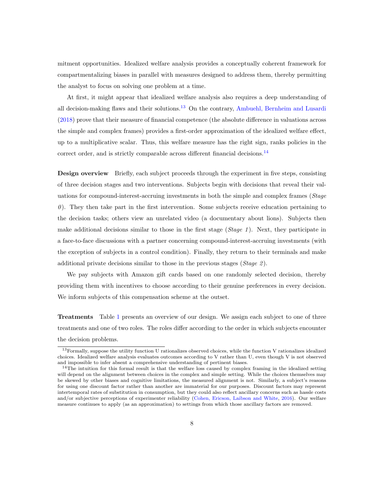mitment opportunities. Idealized welfare analysis provides a conceptually coherent framework for compartmentalizing biases in parallel with measures designed to address them, thereby permitting the analyst to focus on solving one problem at a time.

At first, it might appear that idealized welfare analysis also requires a deep understanding of all decision-making flaws and their solutions.<sup>13</sup> On the contrary, Ambuehl, Bernheim and Lusardi  $(2018)$  prove that their measure of financial competence (the absolute difference in valuations across the simple and complex frames) provides a first-order approximation of the idealized welfare effect, up to a multiplicative scalar. Thus, this welfare measure has the right sign, ranks policies in the correct order, and is strictly comparable across different financial decisions.<sup>14</sup>

Design overview Briefly, each subject proceeds through the experiment in five steps, consisting of three decision stages and two interventions. Subjects begin with decisions that reveal their valuations for compound-interest-accruing investments in both the simple and complex frames (*Stage 0*). They then take part in the first intervention. Some subjects receive education pertaining to the decision tasks; others view an unrelated video (a documentary about lions). Subjects then make additional decisions similar to those in the first stage (*Stage 1* ). Next, they participate in a face-to-face discussions with a partner concerning compound-interest-accruing investments (with the exception of subjects in a control condition). Finally, they return to their terminals and make additional private decisions similar to those in the previous stages (*Stage 2* ).

We pay subjects with Amazon gift cards based on one randomly selected decision, thereby providing them with incentives to choose according to their genuine preferences in every decision. We inform subjects of this compensation scheme at the outset.

Treatments Table 1 presents an overview of our design. We assign each subject to one of three treatments and one of two roles. The roles differ according to the order in which subjects encounter the decision problems.

 $13$  Formally, suppose the utility function U rationalizes observed choices, while the function V rationalizes idealized choices. Idealized welfare analysis evaluates outcomes according to V rather than U, even though V is not observed and impossible to infer absent a comprehensive understanding of pertinent biases.

 $14$ The intuition for this formal result is that the welfare loss caused by complex framing in the idealized setting will depend on the alignment between choices in the complex and simple setting. While the choices themselves may be skewed by other biases and cognitive limitations, the measured alignment is not. Similarly, a subject's reasons for using one discount factor rather than another are immaterial for our purposes. Discount factors may represent intertemporal rates of substitution in consumption, but they could also reflect ancillary concerns such as hassle costs and/or subjective perceptions of experimenter reliability (Cohen, Ericson, Laibson and White, 2016). Our welfare measure continues to apply (as an approximation) to settings from which those ancillary factors are removed.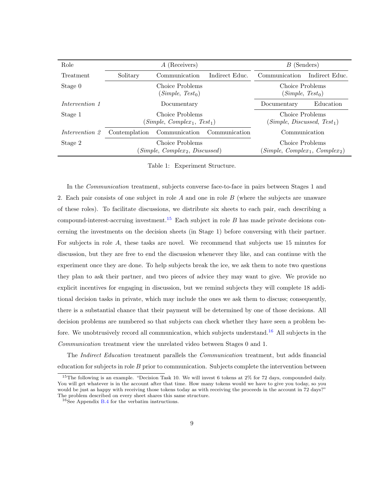| Role                  |               | A (Receivers)                                       |                | $B$ (Senders)                                       |                |  |
|-----------------------|---------------|-----------------------------------------------------|----------------|-----------------------------------------------------|----------------|--|
| Treatment             | Solitary      | Communication                                       | Indirect Educ. | Communication                                       | Indirect Educ. |  |
| Stage 0               |               | Choice Problems<br>$(Simple, Test_0)$               |                | Choice Problems<br>$(Simple, Test_0)$               |                |  |
| Intervention 1        |               | Documentary                                         |                | Education<br>Documentary                            |                |  |
| Stage 1               |               | Choice Problems<br>$(Simple, Complex_1, Test_1)$    |                | Choice Problems<br>$(Simple, Discussed, Test_1)$    |                |  |
| <i>Intervention 2</i> | Contemplation | Communication                                       | Communication  | Communication                                       |                |  |
| Stage 2               |               | Choice Problems<br>$(Simple, Complex_2, Discussed)$ |                | Choice Problems<br>$(Simple, Complex_1, Complex_2)$ |                |  |

Table 1: Experiment Structure.

In the *Communication* treatment, subjects converse face-to-face in pairs between Stages 1 and 2. Each pair consists of one subject in role *A* and one in role *B* (where the subjects are unaware of these roles). To facilitate discussions, we distribute six sheets to each pair, each describing a compound-interest-accruing investment.<sup>15</sup> Each subject in role *B* has made private decisions concerning the investments on the decision sheets (in Stage 1) before conversing with their partner. For subjects in role *A*, these tasks are novel. We recommend that subjects use 15 minutes for discussion, but they are free to end the discussion whenever they like, and can continue with the experiment once they are done. To help subjects break the ice, we ask them to note two questions they plan to ask their partner, and two pieces of advice they may want to give. We provide no explicit incentives for engaging in discussion, but we remind subjects they will complete 18 additional decision tasks in private, which may include the ones we ask them to discuss; consequently, there is a substantial chance that their payment will be determined by one of those decisions. All decision problems are numbered so that subjects can check whether they have seen a problem before. We unobtrusively record all communication, which subjects understand.<sup>16</sup> All subjects in the *Communication* treatment view the unrelated video between Stages 0 and 1.

The *Indirect Education* treatment parallels the *Communication* treatment, but adds financial education for subjects in role *B* prior to communication. Subjects complete the intervention between

<sup>15</sup>The following is an example. "Decision Task 10. We will invest 6 tokens at 2% for 72 days, compounded daily. You will get whatever is in the account after that time. How many tokens would we have to give you today, so you would be just as happy with receiving those tokens today as with receiving the proceeds in the account in 72 days?" The problem described on every sheet shares this same structure.

 $16$ See Appendix B.4 for the verbatim instructions.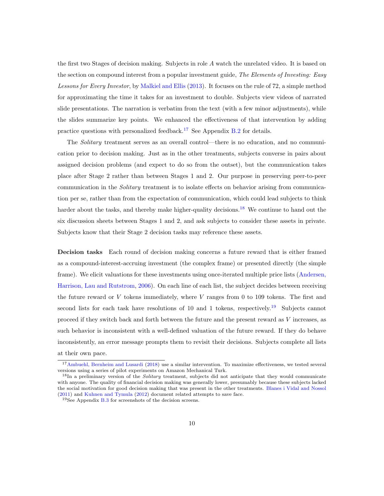the first two Stages of decision making. Subjects in role *A* watch the unrelated video. It is based on the section on compound interest from a popular investment guide, *The Elements of Investing: Easy Lessons for Every Investor*, by Malkiel and Ellis (2013). It focuses on the rule of 72, a simple method for approximating the time it takes for an investment to double. Subjects view videos of narrated slide presentations. The narration is verbatim from the text (with a few minor adjustments), while the slides summarize key points. We enhanced the effectiveness of that intervention by adding practice questions with personalized feedback.<sup>17</sup> See Appendix B.2 for details.

The *Solitary* treatment serves as an overall control—there is no education, and no communication prior to decision making. Just as in the other treatments, subjects converse in pairs about assigned decision problems (and expect to do so from the outset), but the communication takes place after Stage 2 rather than between Stages 1 and 2. Our purpose in preserving peer-to-peer communication in the *Solitary* treatment is to isolate effects on behavior arising from communication per se, rather than from the expectation of communication, which could lead subjects to think harder about the tasks, and thereby make higher-quality decisions.<sup>18</sup> We continue to hand out the six discussion sheets between Stages 1 and 2, and ask subjects to consider these assets in private. Subjects know that their Stage 2 decision tasks may reference these assets.

Decision tasks Each round of decision making concerns a future reward that is either framed as a compound-interest-accruing investment (the complex frame) or presented directly (the simple frame). We elicit valuations for these investments using once-iterated multiple price lists (Andersen, Harrison, Lau and Rutstrom, 2006). On each line of each list, the subject decides between receiving the future reward or *V* tokens immediately, where *V* ranges from 0 to 109 tokens. The first and second lists for each task have resolutions of 10 and 1 tokens, respectively.<sup>19</sup> Subjects cannot proceed if they switch back and forth between the future and the present reward as *V* increases, as such behavior is inconsistent with a well-defined valuation of the future reward. If they do behave inconsistently, an error message prompts them to revisit their decisions. Subjects complete all lists at their own pace.

 $17$ Ambuehl, Bernheim and Lusardi (2018) use a similar intervention. To maximize effectiveness, we tested several versions using a series of pilot experiments on Amazon Mechanical Turk.

<sup>18</sup>In a preliminary version of the *Solitary* treatment, subjects did not anticipate that they would communicate with anyone. The quality of financial decision making was generally lower, presumably because these subjects lacked the social motivation for good decision making that was present in the other treatments. Blanes i Vidal and Nossol (2011) and Kuhnen and Tymula (2012) document related attempts to save face.

<sup>19</sup>See Appendix B.3 for screenshots of the decision screens.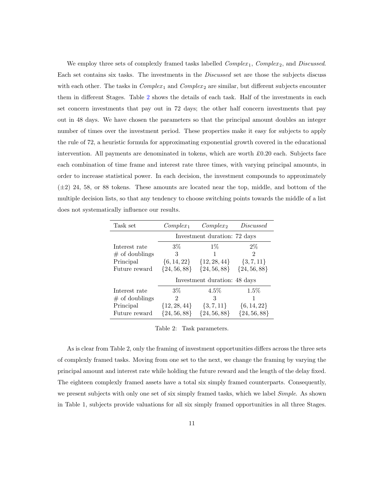We employ three sets of complexly framed tasks labelled *Complex*<sub>1</sub>, *Complex*<sub>2</sub>, and *Discussed*. Each set contains six tasks. The investments in the *Discussed* set are those the subjects discuss with each other. The tasks in  $Complex<sub>1</sub>$  and  $Complex<sub>2</sub>$  are similar, but different subjects encounter them in different Stages. Table 2 shows the details of each task. Half of the investments in each set concern investments that pay out in 72 days; the other half concern investments that pay out in 48 days. We have chosen the parameters so that the principal amount doubles an integer number of times over the investment period. These properties make it easy for subjects to apply the rule of 72, a heuristic formula for approximating exponential growth covered in the educational intervention. All payments are denominated in tokens, which are worth  $\pounds 0.20$  each. Subjects face each combination of time frame and interest rate three times, with varying principal amounts, in order to increase statistical power. In each decision, the investment compounds to approximately (*±*2) 24, 58, or 88 tokens. These amounts are located near the top, middle, and bottom of the multiple decision lists, so that any tendency to choose switching points towards the middle of a list does not systematically influence our results.

| Task set         | $Complex_1$      | Complex <sub>2</sub>         | $\it Discussed$  |
|------------------|------------------|------------------------------|------------------|
|                  |                  | Investment duration: 72 days |                  |
| Interest rate    | $3\%$            | $1\%$                        | $2\%$            |
| $#$ of doublings | 3                | 1                            | 2                |
| Principal        | $\{6, 14, 22\}$  | $\{12, 28, 44\}$             | $\{3, 7, 11\}$   |
| Future reward    | ${24, 56, 88}$   | $\{24, 56, 88\}$             | ${24, 56, 88}$   |
|                  |                  | Investment duration: 48 days |                  |
| Interest rate    | $3\%$            | $4.5\%$                      | $1.5\%$          |
| $#$ of doublings | $\mathcal{D}$    | 3                            |                  |
| Principal        | $\{12, 28, 44\}$ | $\{3, 7, 11\}$               | $\{6, 14, 22\}$  |
| Future reward    | ${24, 56, 88}$   | ${24, 56, 88}$               | $\{24, 56, 88\}$ |

Table 2: Task parameters.

As is clear from Table 2, only the framing of investment opportunities differs across the three sets of complexly framed tasks. Moving from one set to the next, we change the framing by varying the principal amount and interest rate while holding the future reward and the length of the delay fixed. The eighteen complexly framed assets have a total six simply framed counterparts. Consequently, we present subjects with only one set of six simply framed tasks, which we label *Simple*. As shown in Table 1, subjects provide valuations for all six simply framed opportunities in all three Stages.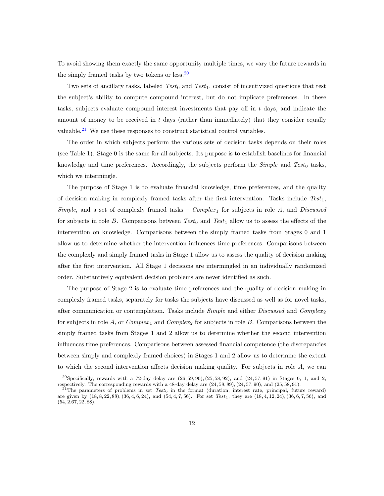To avoid showing them exactly the same opportunity multiple times, we vary the future rewards in the simply framed tasks by two tokens or less.<sup>20</sup>

Two sets of ancillary tasks, labeled *Test*<sub>0</sub> and *Test*<sub>1</sub>, consist of incentivized questions that test the subject's ability to compute compound interest, but do not implicate preferences. In these tasks, subjects evaluate compound interest investments that pay off in *t* days, and indicate the amount of money to be received in *t* days (rather than immediately) that they consider equally valuable.<sup>21</sup> We use these responses to construct statistical control variables.

The order in which subjects perform the various sets of decision tasks depends on their roles (see Table 1). Stage 0 is the same for all subjects. Its purpose is to establish baselines for financial knowledge and time preferences. Accordingly, the subjects perform the *Simple* and *Test*<sub>0</sub> tasks, which we intermingle.

The purpose of Stage 1 is to evaluate financial knowledge, time preferences, and the quality of decision making in complexly framed tasks after the first intervention. Tasks include *Test*1, *Simple*, and a set of complexly framed tasks – *Complex*<sub>1</sub> for subjects in role A, and *Discussed* for subjects in role *B*. Comparisons between  $Test_0$  and  $Test_1$  allow us to assess the effects of the intervention on knowledge. Comparisons between the simply framed tasks from Stages 0 and 1 allow us to determine whether the intervention influences time preferences. Comparisons between the complexly and simply framed tasks in Stage 1 allow us to assess the quality of decision making after the first intervention. All Stage 1 decisions are intermingled in an individually randomized order. Substantively equivalent decision problems are never identified as such.

The purpose of Stage 2 is to evaluate time preferences and the quality of decision making in complexly framed tasks, separately for tasks the subjects have discussed as well as for novel tasks, after communication or contemplation. Tasks include *Simple* and either *Discussed* and *Complex* <sup>2</sup> for subjects in role A, or  $Complex_1$  and  $Complex_2$  for subjects in role B. Comparisons between the simply framed tasks from Stages 1 and 2 allow us to determine whether the second intervention influences time preferences. Comparisons between assessed financial competence (the discrepancies between simply and complexly framed choices) in Stages 1 and 2 allow us to determine the extent to which the second intervention affects decision making quality. For subjects in role A, we can

<sup>20</sup>Specifically, rewards with a 72-day delay are (26*,* 59*,* 90)*,* (25*,* 58*,* 92), and (24*,* 57*,* 91) in Stages 0, 1, and 2, respectively. The corresponding rewards with a 48-day delay are (24*,* 58*,* 89)*,* (24*,* 57*,* 90), and (25*,* 58*,* 91).

<sup>&</sup>lt;sup>21</sup>The parameters of problems in set  $Test_0$  in the format (duration, interest rate, principal, future reward) are given by  $(18, 8, 22, 88), (36, 4, 6, 24),$  and  $(54, 4, 7, 56)$ . For set Test<sub>1</sub>, they are  $(18, 4, 12, 24), (36, 6, 7, 56),$  and (54*,* 2*.*67*,* 22*,* 88).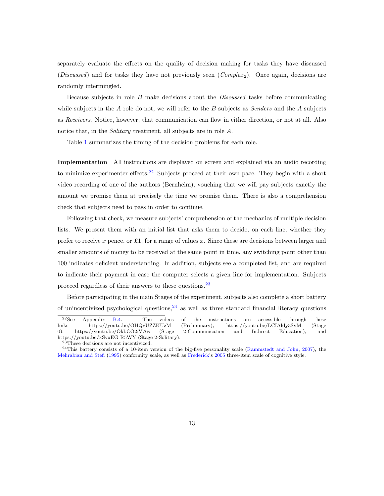separately evaluate the effects on the quality of decision making for tasks they have discussed (*Discussed*) and for tasks they have not previously seen (*Complex* <sup>2</sup>). Once again, decisions are randomly intermingled.

Because subjects in role *B* make decisions about the *Discussed* tasks before communicating while subjects in the *A* role do not, we will refer to the *B* subjects as *Senders* and the *A* subjects as *Receivers*. Notice, however, that communication can flow in either direction, or not at all. Also notice that, in the *Solitary* treatment, all subjects are in role *A*.

Table 1 summarizes the timing of the decision problems for each role.

Implementation All instructions are displayed on screen and explained via an audio recording to minimize experimenter effects.<sup>22</sup> Subjects proceed at their own pace. They begin with a short video recording of one of the authors (Bernheim), vouching that we will pay subjects exactly the amount we promise them at precisely the time we promise them. There is also a comprehension check that subjects need to pass in order to continue.

Following that check, we measure subjects' comprehension of the mechanics of multiple decision lists. We present them with an initial list that asks them to decide, on each line, whether they prefer to receive *x* pence, or £1, for a range of values *x*. Since these are decisions between larger and smaller amounts of money to be received at the same point in time, any switching point other than 100 indicates deficient understanding. In addition, subjects see a completed list, and are required to indicate their payment in case the computer selects a given line for implementation. Subjects proceed regardless of their answers to these questions.<sup>23</sup>

Before participating in the main Stages of the experiment, subjects also complete a short battery of unincentivized psychological questions,  $24$  as well as three standard financial literacy questions

<sup>&</sup>lt;sup>22</sup>See Appendix B.4. The videos of the instructions are accessible through these links: https://youtu.be/OHQvUZZKUzM (Preliminary), https://youtu.be/LCIAldy3SvM (Stage 0), https://youtu.be/OkbCO2iV76s (Stage 2-Communication and Indirect Education), and https://youtu.be/xSvxEG R5WY (Stage 2-Solitary).

<sup>23</sup>These decisions are not incentivized.

<sup>&</sup>lt;sup>24</sup>This battery consists of a 10-item version of the big-five personality scale (Rammstedt and John, 2007), the Mehrabian and Stefl (1995) conformity scale, as well as Frederick's 2005 three-item scale of cognitive style.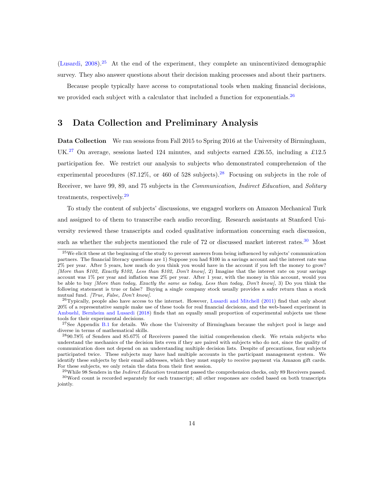(Lusardi, 2008).<sup>25</sup> At the end of the experiment, they complete an unincentivized demographic survey. They also answer questions about their decision making processes and about their partners.

Because people typically have access to computational tools when making financial decisions, we provided each subject with a calculator that included a function for exponentials.<sup>26</sup>

# 3 Data Collection and Preliminary Analysis

Data Collection We ran sessions from Fall 2015 to Spring 2016 at the University of Birmingham, UK.<sup>27</sup> On average, sessions lasted 124 minutes, and subjects earned £26.55, including a £12.5 participation fee. We restrict our analysis to subjects who demonstrated comprehension of the experimental procedures (87*.*12%, or 460 of 528 subjects).<sup>28</sup> Focusing on subjects in the role of Receiver, we have 99, 89, and 75 subjects in the *Communication*, *Indirect Education*, and *Solitary* treatments, respectively.<sup>29</sup>

To study the content of subjects' discussions, we engaged workers on Amazon Mechanical Turk and assigned to of them to transcribe each audio recording. Research assistants at Stanford University reviewed these transcripts and coded qualitative information concerning each discussion, such as whether the subjects mentioned the rule of 72 or discussed market interest rates.<sup>30</sup> Most

<sup>&</sup>lt;sup>25</sup>We elicit these at the beginning of the study to prevent answers from being influenced by subjects' communication partners. The financial literacy questions are 1) Suppose you had \$100 in a savings account and the interest rate was 2% per year. After 5 years, how much do you think you would have in the account if you left the money to grow? *[More than \$102, Exactly \$102, Less than \$102, Don't know]*, 2) Imagine that the interest rate on your savings account was 1% per year and inflation was 2% per year. After 1 year, with the money in this account, would you be able to buy *[More than today, Exactly the same as today, Less than today, Don't know]*, 3) Do you think the following statement is true or false? Buying a single company stock usually provides a safer return than a stock mutual fund. *[True, False, Don't know]*.

 $^{26}$ Typically, people also have access to the internet. However, Lusardi and Mitchell (2011) find that only about 20% of a representative sample make use of these tools for real financial decisions, and the web-based experiment in Ambuehl, Bernheim and Lusardi (2018) finds that an equally small proportion of experimental subjects use these tools for their experimental decisions.

<sup>&</sup>lt;sup>27</sup>See Appendix B.1 for details. We chose the University of Birmingham because the subject pool is large and diverse in terms of mathematical skills.

<sup>28</sup>90.78% of Senders and 85.67% of Receivers passed the initial comprehension check. We retain subjects who understand the mechanics of the decision lists even if they are paired with subjects who do not, since the quality of communication does not depend on an understanding multiple decision lists. Despite of precautions, four subjects participated twice. These subjects may have had multiple accounts in the participant management system. We identify these subjects by their email addresses, which they must supply to receive payment via Amazon gift cards. For these subjects, we only retain the data from their first session.

<sup>29</sup>While 98 Senders in the *Indirect Education* treatment passed the comprehension checks, only 89 Receivers passed. <sup>30</sup>Word count is recorded separately for each transcript; all other responses are coded based on both transcripts jointly.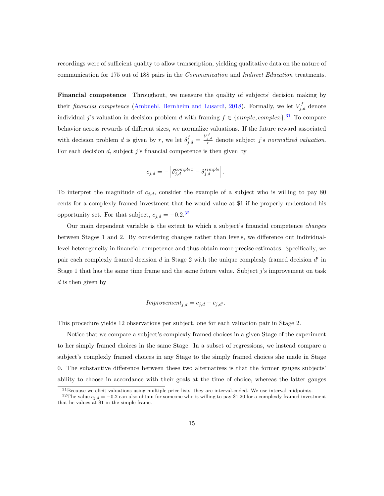recordings were of sufficient quality to allow transcription, yielding qualitative data on the nature of communication for 175 out of 188 pairs in the *Communication* and *Indirect Education* treatments.

Financial competence Throughout, we measure the quality of subjects' decision making by their *financial competence* (Ambuehl, Bernheim and Lusardi, 2018). Formally, we let  $V_{j,d}^f$  denote individual *j*'s valuation in decision problem *d* with framing  $f \in \{simple, complex\}$ .<sup>31</sup> To compare behavior across rewards of different sizes, we normalize valuations. If the future reward associated with decision problem *d* is given by *r*, we let  $\delta_{j,d}^f = \frac{V_{j,d}^f}{r}$  denote subject *j*'s *normalized valuation*. For each decision *d*, subject *j*'s financial competence is then given by

$$
c_{j,d} = - \left| \delta_{j,d}^{complex} - \delta_{j,d}^{simple} \right|.
$$

To interpret the magnitude of  $c_{j,d}$ , consider the example of a subject who is willing to pay 80 cents for a complexly framed investment that he would value at \$1 if he properly understood his opportunity set. For that subject,  $c_{j,d} = -0.2$ .<sup>32</sup>

Our main dependent variable is the extent to which a subject's financial competence *changes* between Stages 1 and 2. By considering changes rather than levels, we difference out individuallevel heterogeneity in financial competence and thus obtain more precise estimates. Specifically, we pair each complexly framed decision *d* in Stage 2 with the unique complexly framed decision *d'* in Stage 1 that has the same time frame and the same future value. Subject *j*'s improvement on task *d* is then given by

$$
Improvement_{j,d} = c_{j,d} - c_{j,d'}.
$$

This procedure yields 12 observations per subject, one for each valuation pair in Stage 2.

Notice that we compare a subject's complexly framed choices in a given Stage of the experiment to her simply framed choices in the same Stage. In a subset of regressions, we instead compare a subject's complexly framed choices in any Stage to the simply framed choices she made in Stage 0. The substantive difference between these two alternatives is that the former gauges subjects' ability to choose in accordance with their goals at the time of choice, whereas the latter gauges

 $31$ Because we elicit valuations using multiple price lists, they are interval-coded. We use interval midpoints.

<sup>&</sup>lt;sup>32</sup>The value  $c_{j,d} = -0.2$  can also obtain for someone who is willing to pay \$1.20 for a complexly framed investment that he values at \$1 in the simple frame.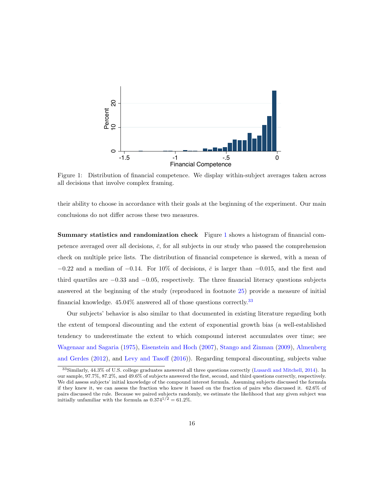

Figure 1: Distribution of financial competence. We display within-subject averages taken across all decisions that involve complex framing.

their ability to choose in accordance with their goals at the beginning of the experiment. Our main conclusions do not differ across these two measures.

Summary statistics and randomization check Figure 1 shows a histogram of financial competence averaged over all decisions,  $\bar{c}$ , for all subjects in our study who passed the comprehension check on multiple price lists. The distribution of financial competence is skewed, with a mean of  $-0.22$  and a median of  $-0.14$ . For 10% of decisions,  $\bar{c}$  is larger than  $-0.015$ , and the first and third quartiles are  $-0.33$  and  $-0.05$ , respectively. The three financial literacy questions subjects answered at the beginning of the study (reproduced in footnote 25) provide a measure of initial financial knowledge. 45.04% answered all of those questions correctly.<sup>33</sup>

Our subjects' behavior is also similar to that documented in existing literature regarding both the extent of temporal discounting and the extent of exponential growth bias (a well-established tendency to underestimate the extent to which compound interest accumulates over time; see Wagenaar and Sagaria (1975), Eisenstein and Hoch (2007), Stango and Zinman (2009), Almenberg and Gerdes  $(2012)$ , and Levy and Tasoff  $(2016)$ ). Regarding temporal discounting, subjects value

<sup>33</sup>Similarly, 44.3% of U.S. college graduates answered all three questions correctly (Lusardi and Mitchell, 2014). In our sample, 97.7%, 87.2%, and 49.6% of subjects answered the first, second, and third questions correctly, respectively. We did assess subjects' initial knowledge of the compound interest formula. Assuming subjects discussed the formula if they knew it, we can assess the fraction who knew it based on the fraction of pairs who discussed it. 62.6% of pairs discussed the rule. Because we paired subjects randomly, we estimate the likelihood that any given subject was initially unfamiliar with the formula as  $0.374^{1/2} = 61.2\%$ .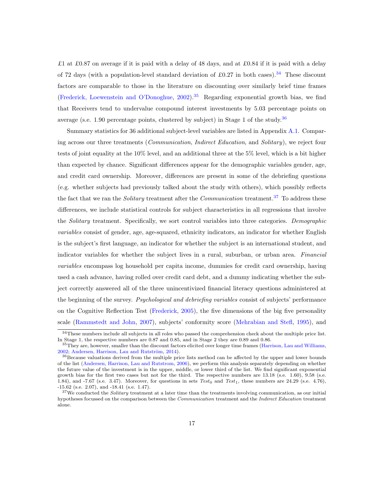£1 at £0.87 on average if it is paid with a delay of 48 days, and at £0.84 if it is paid with a delay of 72 days (with a population-level standard deviation of £0.27 in both cases).<sup>34</sup> These discount factors are comparable to those in the literature on discounting over similarly brief time frames (Frederick, Loewenstein and O'Donoghue, 2002).<sup>35</sup> Regarding exponential growth bias, we find that Receivers tend to undervalue compound interest investments by 5.03 percentage points on average (s.e. 1.90 percentage points, clustered by subject) in Stage 1 of the study.<sup>36</sup>

Summary statistics for 36 additional subject-level variables are listed in Appendix A.1. Comparing across our three treatments (*Communication*, *Indirect Education*, and *Solitary*), we reject four tests of joint equality at the 10% level, and an additional three at the 5% level, which is a bit higher than expected by chance. Significant differences appear for the demographic variables gender, age, and credit card ownership. Moreover, differences are present in some of the debriefing questions (e.g. whether subjects had previously talked about the study with others), which possibly reflects the fact that we ran the *Solitary* treatment after the *Communication* treatment.<sup>37</sup> To address these differences, we include statistical controls for subject characteristics in all regressions that involve the *Solitary* treatment. Specifically, we sort control variables into three categories. *Demographic variables* consist of gender, age, age-squared, ethnicity indicators, an indicator for whether English is the subject's first language, an indicator for whether the subject is an international student, and indicator variables for whether the subject lives in a rural, suburban, or urban area. *Financial variables* encompass log household per capita income, dummies for credit card ownership, having used a cash advance, having rolled over credit card debt, and a dummy indicating whether the subject correctly answered all of the three unincentivized financial literacy questions administered at the beginning of the survey. *Psychological and debriefing variables* consist of subjects' performance on the Cognitive Reflection Test (Frederick, 2005), the five dimensions of the big five personality scale (Rammstedt and John, 2007), subjects' conformity score (Mehrabian and Stefl, 1995), and

<sup>34</sup>These numbers include all subjects in all roles who passed the comprehension check about the multiple price list. In Stage 1, the respective numbers are 0.87 and 0.85, and in Stage 2 they are 0.89 and 0.86.

<sup>&</sup>lt;sup>35</sup>They are, however, smaller than the discount factors elicited over longer time frames (Harrison, Lau and Williams, 2002; Andersen, Harrison, Lau and Rutström, 2014).

<sup>&</sup>lt;sup>36</sup>Because valuations derived from the multiple price lists method can be affected by the upper and lower bounds of the list (Andersen, Harrison, Lau and Rutstrom, 2006), we perform this analysis separately depending on whether the future value of the investment is in the upper, middle, or lower third of the list. We find significant exponential growth bias for the first two cases but not for the third. The respective numbers are 13.18 (s.e. 1.60), 9.58 (s.e. 1.84), and -7.67 (s.e. 3.47). Moreover, for questions in sets *Test*<sup>0</sup> and *Test*1, these numbers are 24.29 (s.e. 4.76), -15.62 (s.e. 2.07), and -18.41 (s.e. 1.47).

<sup>37</sup>We conducted the *Solitary* treatment at a later time than the treatments involving communication, as our initial hypotheses focussed on the comparison between the *Communication* treatment and the *Indirect Education* treatment alone.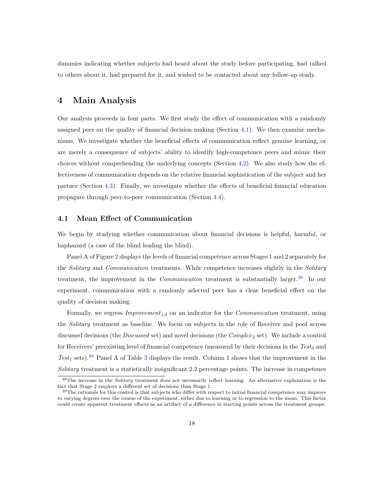dummies indicating whether subjects had heard about the study before participating, had talked to others about it, had prepared for it, and wished to be contacted about any follow-up study.

# 4 Main Analysis

Our analysis proceeds in four parts. We first study the effect of communication with a randomly assigned peer on the quality of financial decision making (Section 4.1). We then examine mechanisms. We investigate whether the beneficial effects of communication reflect genuine learning, or are merely a consequence of subjects' ability to identify high-competence peers and mimic their choices without comprehending the underlying concepts (Section 4.2). We also study how the effectiveness of communication depends on the relative financial sophistication of the subject and her partner (Section 4.3). Finally, we investigate whether the effects of beneficial financial education propagate through peer-to-peer communication (Section 4.4).

#### 4.1 Mean Effect of Communication

We begin by studying whether communication about financial decisions is helpful, harmful, or haphazard (a case of the blind leading the blind).

Panel A of Figure 2 displays the levels of financial competence across Stages 1 and 2 separately for the *Solitary* and *Communication* treatments. While competence increases slightly in the *Solitary* treatment, the improvement in the *Communication* treatment is substantially larger.<sup>38</sup> In our experiment, communication with a randomly selected peer has a clear beneficial effect on the quality of decision making.

Formally, we regress *Improvement<sub>j,d</sub>* on an indicator for the *Communication* treatment, using the *Solitary* treatment as baseline. We focus on subjects in the role of Receiver and pool across discussed decisions (the *Discussed* set) and novel decisions (the *Complex* <sup>2</sup> set). We include a control for Receivers' preexisting level of financial competence (measured by their decisions in the  $Test_0$  and *Test*<sup>1</sup> sets).<sup>39</sup> Panel A of Table 3 displays the result. Column 1 shows that the improvement in the *Solitary* treatment is a statistically insignificant 2.2 percentage points. The increase in competence

<sup>38</sup>The increase in the *Solitary* treatment does not necessarily reflect learning. An alternative explanation is the fact that Stage 2 employs a different set of decisions than Stage 1.

 $39$ The rationale for this control is that subjects who differ with respect to initial financial competence may improve to varying degrees over the course of the experiment, either due to learning or to regression to the mean. This factor could create apparent treatment effects as an artifact of a difference in starting points across the treatment groups.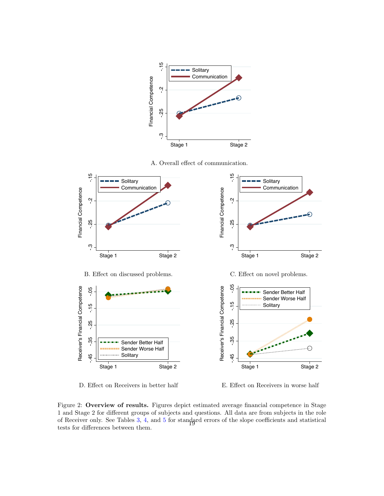





D. Effect on Receivers in better half  $\qquad$  E. Effect on Receivers in worse half

Figure 2: Overview of results. Figures depict estimated average financial competence in Stage 1 and Stage 2 for different groups of subjects and questions. All data are from subjects in the role of Receiver only. See Tables 3, 4, and 5 for standard errors of the slope coefficients and statistical tests for differences between them.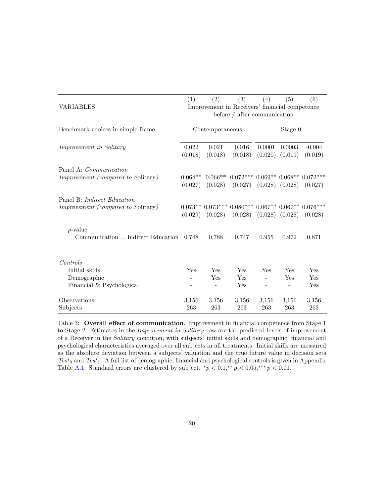|                                                          | (1)                      | (2)             | (3)                                                            | (4)                      | (5)                      | (6)                                     |
|----------------------------------------------------------|--------------------------|-----------------|----------------------------------------------------------------|--------------------------|--------------------------|-----------------------------------------|
| <b>VARIABLES</b>                                         |                          |                 | Improvement in Receivers' financial competence                 |                          |                          |                                         |
|                                                          |                          |                 | before $/$ after communication                                 |                          |                          |                                         |
| Benchmark choices in simple frame                        |                          | Contemporaneous |                                                                |                          | Stage 0                  |                                         |
| Improvement in Solitary                                  | 0.022                    | 0.021           | 0.016                                                          | 0.0001                   | 0.0003                   | $-0.004$                                |
|                                                          | (0.018)                  | (0.018)         | (0.018)                                                        | (0.020)                  | (0.019)                  | (0.019)                                 |
| Panel A: <i>Communication</i>                            |                          |                 |                                                                |                          |                          |                                         |
| <i>Improvement (compared to Solitary)</i>                | $0.064**$                |                 | $0.066**$ $0.072***$ $0.069**$ $0.068**$ $0.072***$            |                          |                          |                                         |
|                                                          | (0.027)                  | (0.028)         | (0.027)                                                        |                          | $(0.028)$ $(0.028)$      | (0.027)                                 |
| Panel B: <i>Indirect Education</i>                       |                          |                 |                                                                |                          |                          |                                         |
| <i>Improvement (compared to Solitary)</i>                |                          |                 | $0.073**$ $0.073***$ $0.080***$ $0.067**$ $0.067**$ $0.076***$ |                          |                          |                                         |
|                                                          | (0.029)                  | (0.028)         |                                                                |                          |                          | $(0.028)$ $(0.028)$ $(0.028)$ $(0.028)$ |
| <i>p</i> -value                                          |                          |                 |                                                                |                          |                          |                                         |
| $\text{Communication} = \text{Indirect Education}$ 0.748 |                          | 0.788           | 0.747                                                          | 0.955                    | 0.972                    | 0.871                                   |
| Controls                                                 |                          |                 |                                                                |                          |                          |                                         |
| Initial skills                                           | Yes                      | <b>Yes</b>      | Yes                                                            | Yes                      | Yes                      | Yes                                     |
| Demographic                                              | $\overline{\phantom{0}}$ | Yes             | Yes                                                            | $\overline{\phantom{0}}$ | Yes                      | Yes                                     |
| Financial $\&$ Psychological                             |                          | $\overline{a}$  | Yes                                                            | $\blacksquare$           | $\overline{\phantom{a}}$ | Yes                                     |
| Observations                                             | 3,156                    | 3,156           | 3,156                                                          | 3,156                    | 3,156                    | 3,156                                   |
| Subjects                                                 | 263                      | 263             | 263                                                            | 263                      | 263                      | 263                                     |

Table 3: Overall effect of communication. Improvement in financial competence from Stage 1 to Stage 2. Estimates in the *Improvement in Solitary* row are the predicted levels of improvement of a Receiver in the *Solitary* condition, with subjects' initial skills and demographic, financial and psychological characteristics averaged over all subjects in all treatments. Initial skills are measured as the absolute deviation between a subjects' valuation and the true future value in decision sets *Test*<sup>0</sup> and *Test*1. A full list of demographic, financial and psychological controls is given in Appendix Table A.1. Standard errors are clustered by subject.  $^*p < 0.1, ^{**}p < 0.05, ^{***}p < 0.01$ .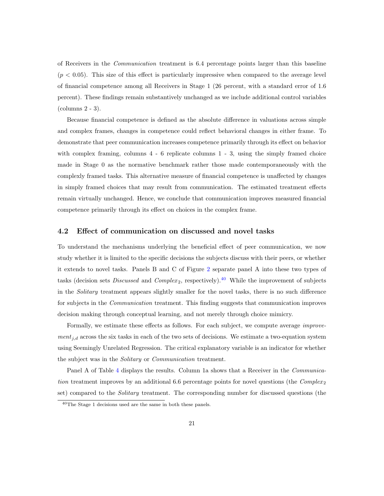of Receivers in the *Communication* treatment is 6.4 percentage points larger than this baseline  $(p < 0.05)$ . This size of this effect is particularly impressive when compared to the average level of financial competence among all Receivers in Stage 1 (26 percent, with a standard error of 1.6 percent). These findings remain substantively unchanged as we include additional control variables (columns 2 - 3).

Because financial competence is defined as the absolute difference in valuations across simple and complex frames, changes in competence could reflect behavioral changes in either frame. To demonstrate that peer communication increases competence primarily through its effect on behavior with complex framing, columns 4 - 6 replicate columns 1 - 3, using the simply framed choice made in Stage 0 as the normative benchmark rather those made contemporaneously with the complexly framed tasks. This alternative measure of financial competence is unaffected by changes in simply framed choices that may result from communication. The estimated treatment effects remain virtually unchanged. Hence, we conclude that communication improves measured financial competence primarily through its effect on choices in the complex frame.

#### 4.2 Effect of communication on discussed and novel tasks

To understand the mechanisms underlying the beneficial effect of peer communication, we now study whether it is limited to the specific decisions the subjects discuss with their peers, or whether it extends to novel tasks. Panels B and C of Figure 2 separate panel A into these two types of tasks (decision sets *Discussed* and  $Complex_2$ , respectively).<sup>40</sup> While the improvement of subjects in the *Solitary* treatment appears slightly smaller for the novel tasks, there is no such difference for subjects in the *Communication* treatment. This finding suggests that communication improves decision making through conceptual learning, and not merely through choice mimicry.

Formally, we estimate these effects as follows. For each subject, we compute average *improve* $ment_{j,d}$  across the six tasks in each of the two sets of decisions. We estimate a two-equation system using Seemingly Unrelated Regression. The critical explanatory variable is an indicator for whether the subject was in the *Solitary* or *Communication* treatment.

Panel A of Table 4 displays the results. Column 1a shows that a Receiver in the *Communication* treatment improves by an additional 6.6 percentage points for novel questions (the *Complex*<sub>2</sub> set) compared to the *Solitary* treatment. The corresponding number for discussed questions (the

<sup>40</sup>The Stage 1 decisions used are the same in both these panels.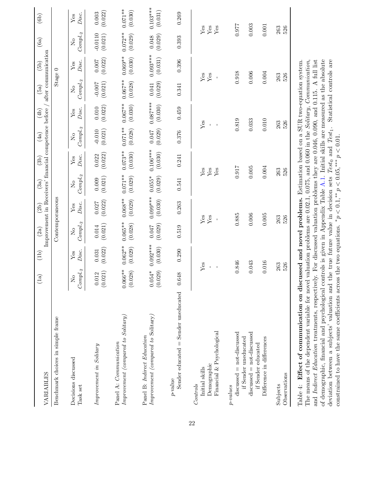| VARIABLES                                                                 | (1a)                             | (1b)                            | Improvement in Receivers' financial competence before<br>$\left( 2a\right)$ | (2b)                  | (3a)                                                | (3b)                  | (4a)                                               | (4b)                  | $\prime$ after communication<br>$(5a)$                                      | (5b)                                   | (6a)                                    | (6b)                  |
|---------------------------------------------------------------------------|----------------------------------|---------------------------------|-----------------------------------------------------------------------------|-----------------------|-----------------------------------------------------|-----------------------|----------------------------------------------------|-----------------------|-----------------------------------------------------------------------------|----------------------------------------|-----------------------------------------|-----------------------|
| Benchmark choices in simple frame                                         |                                  |                                 |                                                                             | Contemporaneous       |                                                     |                       |                                                    |                       |                                                                             | Stage 0                                |                                         |                       |
| Decisions discussed<br>Task set                                           | $Compl.\!_{2}$<br>$\overline{N}$ | $\mathit{Disc}.$<br>${\rm Yes}$ | $Compl.$ <sub>2</sub><br>$\overline{R}$                                     | Disc.<br>${\rm Yes}$  | $Compl.$ <sub>2</sub><br>$\mathcal{L}_{\mathsf{O}}$ | Disc.<br>${\rm Yes}$  | $Compl.$ <sub>2</sub><br>$\mathsf{S}^{\mathsf{O}}$ | Disc.<br>$Y$ es       | $Compl._2$<br>$\rm _{No}$                                                   | Disc.<br>${\rm Yes}$                   | $Compl.$ 2<br>$\mathsf{S}^{\mathsf{O}}$ | Disc.<br>Yes          |
| Improvement in Solitary                                                   | (0.021)<br>0.012                 | (0.022)<br>$\!0.031$            | (0.021)<br>$\rm 0.014$                                                      | (0.027)               | (0.009)                                             | (0.022)<br>0.022      | (0.021)<br>$-0.010$                                | (0.022)<br>$0.010\,$  | $-0.007$<br>(0.021)                                                         | $0.007$ $(0.022)$                      | $-0.0110$<br>(0.021)                    | (0.003)               |
| Improvement (compared to Solitary)<br>Panel A: Communication              | $0.066**$<br>(0.028)             | $0.062**$<br>(0.029)            | $0.065**$<br>(0.028)                                                        | $0.068**$<br>(0.029)  | $0.071**$<br>(0.029)                                | $0.073**$<br>(0.030)  | $0.071**$<br>(0.028)                               | $0.067**$<br>(0.030)  | $0.067**$<br>(0.028)                                                        | $0.069**$<br>(0.030)                   | $0.072**$<br>(0.029)                    | $0.071**$<br>(0.030)  |
| Improvement (compared to Solitary)<br>Panel B: Indirect Education         | $0.054*$<br>(0.029)              | $0.092***$<br>(0.030)           | (0.029)<br>740.0                                                            | $0.099***$<br>(0.030) | $0.055*$<br>(0.029)                                 | $0.106***$<br>(0.030) | (0.029)<br>0.047                                   | $0.087***$<br>(0.030) | (0.029)<br>0.041                                                            | $0.093***$<br>(0.031)                  | (0.029)<br>0.048                        | $0.103***$<br>(0.031) |
| Sender educated $=$ Sender uneducated<br>$p$ -value                       | 0.648                            | 0.290                           | 0.519                                                                       | 0.263                 | 0.541                                               | 0.241                 | 0.376                                              | 0.459                 | 0.341                                                                       | 0.396                                  | 0.393                                   | 0.269                 |
| Financial & Psychological<br>Demographic<br>Initial skills<br>Controls    |                                  | Yes<br>$\sim$ 1<br>$\mathbf{I}$ |                                                                             | Yes<br>Yes            |                                                     | Yes<br>Yes<br>Yes     | $\mathbf{I}$                                       | Yes<br>$\mathbf{I}$   |                                                                             | Yes<br>Yes<br>$\overline{\phantom{a}}$ | Yes<br>Yes<br>Yes                       |                       |
| $d$ iscussed = $not$ - $d$ iscussed<br>$p-values$                         |                                  | 0.846                           |                                                                             | 0.885                 |                                                     | 0.917                 |                                                    | 0.819                 |                                                                             | 0.918                                  | 0.977                                   |                       |
| $discussed = not-discussed$<br>if Sender uneducated<br>if Sender educated |                                  | 0.043                           |                                                                             | 0.006                 |                                                     | 0.005                 | 0.033                                              |                       |                                                                             | $0.006\,$                              | 0.003                                   |                       |
| Difference in differences                                                 |                                  | 0.016                           |                                                                             | 0.005                 |                                                     | 0.004                 |                                                    | 0.010                 |                                                                             | 0.004                                  | 0.001                                   |                       |
| Observations<br>Subjects                                                  |                                  | 263<br>526                      | 263<br>526                                                                  |                       | 526                                                 | 263                   | 263<br>526                                         |                       |                                                                             | 263<br>526                             | 263<br>526                              |                       |
| Table 4: Effect of communication on di                                    |                                  |                                 |                                                                             |                       |                                                     |                       |                                                    |                       | iscussed and novel problems. Estimation based on a SUR two-equation system. |                                        |                                         |                       |

The means of the dependent variable for novel valuation problems are 0.02.1, 0.075, and 0.060 in the Solitary, Communication, and Indirect Education treatments, respectively. For discussed valuation problems they are 0.046, 0.090, and 0.115. A full list of demographic, financial and psychological controls is given in Appendix Table A.1. Initial skills are measured as the absolute deviation between a subjects' valuation and the true future value in decision sets Test<sub>0</sub> and Test<sub>1</sub>. Statistical controls are and *Indirect Education* treatments, respectively. For discussed valuation problems they are 0.046, 0.090, and 0.115. A full list of demographic, financial and psychological controls is given in Appendix Table A.1. Initial skills are measured as the absolute deviation between a subjects' valuation and the true future value in decision sets *Test*<sub>0</sub> and *Test*<sub>1</sub>. Statistical controls are ↵ect of communication on discussed and novel problems. Estimation based on a SUR two-equation system. The means of the dependent variable for novel valuation problems are 0.02.1, 0.075, and 0.060 in the *Solitary*, *Communication*, constrained to have the same coefficients across the two equations.  $*p < 0.1, ** p < 0.05, **p < 0.01$ . ficients across the two equations.  $*_{p} < 0.1, **p < 0.05, **p < 0.01$ . constrained to have the same coe  $\overline{\mathrm{Pa}}$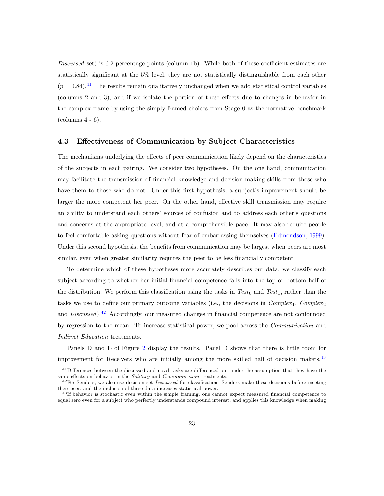*Discussed* set) is 6.2 percentage points (column 1b). While both of these coefficient estimates are statistically significant at the 5% level, they are not statistically distinguishable from each other  $(p = 0.84)$ <sup>41</sup>. The results remain qualitatively unchanged when we add statistical control variables (columns 2 and 3), and if we isolate the portion of these effects due to changes in behavior in the complex frame by using the simply framed choices from Stage 0 as the normative benchmark  $(columns 4 - 6).$ 

#### 4.3 Effectiveness of Communication by Subject Characteristics

The mechanisms underlying the effects of peer communication likely depend on the characteristics of the subjects in each pairing. We consider two hypotheses. On the one hand, communication may facilitate the transmission of financial knowledge and decision-making skills from those who have them to those who do not. Under this first hypothesis, a subject's improvement should be larger the more competent her peer. On the other hand, effective skill transmission may require an ability to understand each others' sources of confusion and to address each other's questions and concerns at the appropriate level, and at a comprehensible pace. It may also require people to feel comfortable asking questions without fear of embarrassing themselves (Edmondson, 1999). Under this second hypothesis, the benefits from communication may be largest when peers are most similar, even when greater similarity requires the peer to be less financially competent

To determine which of these hypotheses more accurately describes our data, we classify each subject according to whether her initial financial competence falls into the top or bottom half of the distribution. We perform this classification using the tasks in  $Test_0$  and  $Test_1$ , rather than the tasks we use to define our primary outcome variables (i.e., the decisions in  $Complex_1$ ,  $Complex_2$ and *Discussed*).<sup>42</sup> Accordingly, our measured changes in financial competence are not confounded by regression to the mean. To increase statistical power, we pool across the *Communication* and *Indirect Education* treatments.

Panels D and E of Figure 2 display the results. Panel D shows that there is little room for improvement for Receivers who are initially among the more skilled half of decision makers.<sup>43</sup>

 $41$ Differences between the discussed and novel tasks are differenced out under the assumption that they have the same effects on behavior in the *Solitary* and *Communication* treatments.

<sup>42</sup>For Senders, we also use decision set *Discussed* for classification. Senders make these decisions before meeting their peer, and the inclusion of these data increases statistical power.

 $^{43}$ If behavior is stochastic even within the simple framing, one cannot expect measured financial competence to equal zero even for a subject who perfectly understands compound interest, and applies this knowledge when making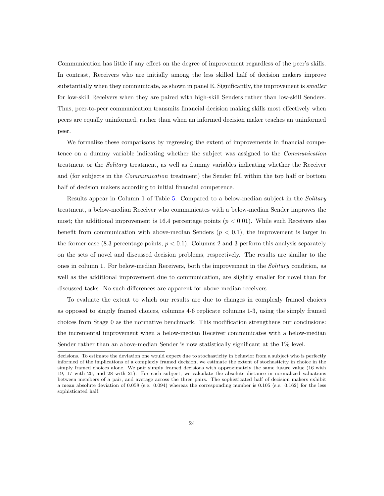Communication has little if any effect on the degree of improvement regardless of the peer's skills. In contrast, Receivers who are initially among the less skilled half of decision makers improve substantially when they communicate, as shown in panel E. Significantly, the improvement is *smaller* for low-skill Receivers when they are paired with high-skill Senders rather than low-skill Senders. Thus, peer-to-peer communication transmits financial decision making skills most effectively when peers are equally uninformed, rather than when an informed decision maker teaches an uninformed peer.

We formalize these comparisons by regressing the extent of improvements in financial competence on a dummy variable indicating whether the subject was assigned to the *Communication* treatment or the *Solitary* treatment, as well as dummy variables indicating whether the Receiver and (for subjects in the *Communication* treatment) the Sender fell within the top half or bottom half of decision makers according to initial financial competence.

Results appear in Column 1 of Table 5. Compared to a below-median subject in the *Solitary* treatment, a below-median Receiver who communicates with a below-median Sender improves the most; the additional improvement is 16.4 percentage points  $(p < 0.01)$ . While such Receivers also benefit from communication with above-median Senders  $(p < 0.1)$ , the improvement is larger in the former case  $(8.3$  percentage points,  $p < 0.1$ ). Columns 2 and 3 perform this analysis separately on the sets of novel and discussed decision problems, respectively. The results are similar to the ones in column 1. For below-median Receivers, both the improvement in the *Solitary* condition, as well as the additional improvement due to communication, are slightly smaller for novel than for discussed tasks. No such differences are apparent for above-median receivers.

To evaluate the extent to which our results are due to changes in complexly framed choices as opposed to simply framed choices, columns 4-6 replicate columns 1-3, using the simply framed choices from Stage 0 as the normative benchmark. This modification strengthens our conclusions: the incremental improvement when a below-median Receiver communicates with a below-median Sender rather than an above-median Sender is now statistically significant at the 1% level.

decisions. To estimate the deviation one would expect due to stochasticity in behavior from a subject who is perfectly informed of the implications of a complexly framed decision, we estimate the extent of stochasticity in choice in the simply framed choices alone. We pair simply framed decisions with approximately the same future value (16 with 19, 17 with 20, and 28 with 21). For each subject, we calculate the absolute distance in normalized valuations between members of a pair, and average across the three pairs. The sophisticated half of decision makers exhibit a mean absolute deviation of 0.058 (s.e. 0.094) whereas the corresponding number is 0.105 (s.e. 0.162) for the less sophisticated half.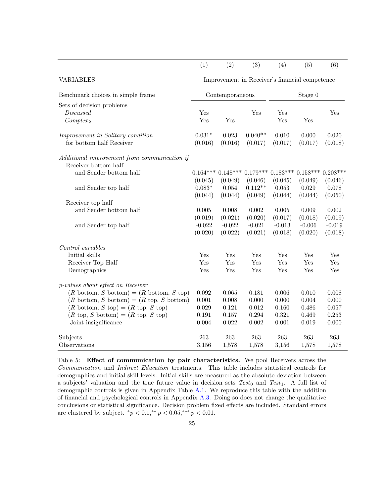|                                                                            | (1)      | (2)                   | (3)                                            | (4)        | (5)        | (6)        |
|----------------------------------------------------------------------------|----------|-----------------------|------------------------------------------------|------------|------------|------------|
| <b>VARIABLES</b>                                                           |          |                       | Improvement in Receiver's financial competence |            |            |            |
| Benchmark choices in simple frame                                          |          | Contemporaneous       |                                                |            | Stage $0$  |            |
| Sets of decision problems                                                  |          |                       |                                                |            |            |            |
| Discussed                                                                  | Yes      |                       | Yes                                            | Yes        |            | Yes        |
| Complex <sub>2</sub>                                                       | Yes      | Yes                   |                                                | Yes        | Yes        |            |
| Improvement in Solitary condition                                          | $0.031*$ | 0.023                 | $0.040**$                                      | 0.010      | 0.000      | 0.020      |
| for bottom half Receiver                                                   | (0.016)  | (0.016)               | (0.017)                                        | (0.017)    | (0.017)    | (0.018)    |
| Additional improvement from communication if                               |          |                       |                                                |            |            |            |
| Receiver bottom half                                                       |          |                       |                                                |            |            |            |
| and Sender bottom half                                                     |          | $0.164***$ $0.148***$ | $0.179***$                                     | $0.183***$ | $0.158***$ | $0.208***$ |
|                                                                            | (0.045)  | (0.049)               | (0.046)                                        | (0.045)    | (0.049)    | (0.046)    |
| and Sender top half                                                        | $0.083*$ | 0.054                 | $0.112**$                                      | 0.053      | 0.029      | 0.078      |
|                                                                            | (0.044)  | (0.044)               | (0.049)                                        | (0.044)    | (0.044)    | (0.050)    |
| Receiver top half                                                          |          |                       |                                                |            |            |            |
| and Sender bottom half                                                     | 0.005    | 0.008                 | 0.002                                          | 0.005      | 0.009      | 0.002      |
|                                                                            | (0.019)  | (0.021)               | (0.020)                                        | (0.017)    | (0.018)    | (0.019)    |
| and Sender top half                                                        | $-0.022$ | $-0.022$              | $-0.021$                                       | $-0.013$   | $-0.006$   | $-0.019$   |
|                                                                            | (0.020)  | (0.022)               | (0.021)                                        | (0.018)    | (0.020)    | (0.018)    |
| Control variables                                                          |          |                       |                                                |            |            |            |
| Initial skills                                                             | Yes      | Yes                   | Yes                                            | Yes        | Yes        | Yes        |
| Receiver Top Half                                                          | Yes      | Yes                   | Yes                                            | Yes        | Yes        | Yes        |
| Demographics                                                               | Yes      | Yes                   | Yes                                            | Yes        | Yes        | Yes        |
| <i>p-values about effect on Receiver</i>                                   |          |                       |                                                |            |            |            |
| $(R \text{ bottom}, S \text{ bottom}) = (R \text{ bottom}, S \text{ top})$ | 0.092    | 0.065                 | 0.181                                          | 0.006      | 0.010      | 0.008      |
| $(R \text{ bottom}, S \text{ bottom}) = (R \text{ top}, S \text{ bottom})$ | 0.001    | 0.008                 | 0.000                                          | 0.000      | 0.004      | 0.000      |
| $(R \text{ bottom}, S \text{ top}) = (R \text{ top}, S \text{ top})$       | 0.029    | 0.121                 | 0.012                                          | 0.160      | 0.486      | 0.057      |
| $(R \text{ top}, S \text{ bottom}) = (R \text{ top}, S \text{ top})$       | 0.191    | $0.157\,$             | 0.294                                          | 0.321      | 0.469      | 0.253      |
| Joint insignificance                                                       | 0.004    | 0.022                 | 0.002                                          | 0.001      | 0.019      | 0.000      |
| Subjects                                                                   | 263      | 263                   | 263                                            | 263        | 263        | 263        |
| Observations                                                               | 3,156    | 1,578                 | 1,578                                          | 3,156      | 1,578      | 1,578      |

Table 5: Effect of communication by pair characteristics. We pool Receivers across the *Communication* and *Indirect Education* treatments. This table includes statistical controls for demographics and initial skill levels. Initial skills are measured as the absolute deviation between a subjects' valuation and the true future value in decision sets  $Test_0$  and  $Test_1$ . A full list of demographic controls is given in Appendix Table A.1. We reproduce this table with the addition of financial and psychological controls in Appendix A.3. Doing so does not change the qualitative conclusions or statistical significance. Decision problem fixed effects are included. Standard errors are clustered by subject.  $^*p < 0.1, ^{**}p < 0.05, ^{***}p < 0.01$ .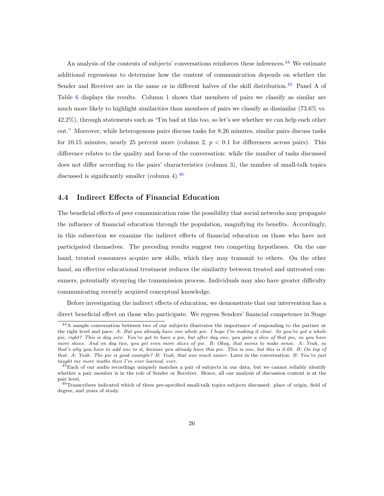An analysis of the contents of subjects' conversations reinforces these inferences.<sup>44</sup> We estimate additional regressions to determine how the content of communication depends on whether the Sender and Receiver are in the same or in different halves of the skill distribution.<sup>45</sup> Panel A of Table 6 displays the results. Column 1 shows that members of pairs we classify as similar are much more likely to highlight similarities than members of pairs we classify as dissimilar (73.6% vs. 42.2%), through statements such as "I'm bad at this too, so let's see whether we can help each other out." Moreover, while heterogenous pairs discuss tasks for 8.26 minutes, similar pairs discuss tasks for 10.15 minutes, nearly 25 percent more (column 2,  $p < 0.1$  for differences across pairs). This difference relates to the quality and focus of the conversation: while the number of tasks discussed does not differ according to the pairs' characteristics (column 3), the number of small-talk topics discussed is significantly smaller (column 4).<sup>46</sup>

#### 4.4 Indirect Effects of Financial Education

The beneficial effects of peer communication raise the possibility that social networks may propagate the influence of financial education through the population, magnifying its benefits. Accordingly, in this subsection we examine the indirect effects of financial education on those who have not participated themselves. The preceding results suggest two competing hypotheses. On the one hand, treated consumers acquire new skills, which they may transmit to others. On the other hand, an effective educational treatment reduces the similarity between treated and untreated consumers, potentially stymying the transmission process. Individuals may also have greater difficulty communicating recently acquired conceptual knowledge.

Before investigating the indirect effects of education, we demonstrate that our intervention has a direct beneficial effect on those who participate. We regress Senders' financial competence in Stage

<sup>44</sup>A sample conversation between two of our subjects illustrates the importance of responding to the partner at the right level and pace: *A: But you already have one whole pie. I hope I'm making it clear. So you've got a whole pie, right? This is day zero. You've got to have a pie, but after day one, you gain a slice of that pie, so you have more slices. And on day two, you get even more slices of pie. B: Okay, that seems to make sense. A: Yeah, so that's why you have to add one to it, because you already have this pie. This is one, but this is 0.02. B: On top of that. A: Yeah. The pie is good example? B: Yeah, that was much easier.* Later in the conversation: *B: You've just taught me more maths then I've ever learned, ever.*

<sup>45</sup>Each of our audio recordings uniquely matches a pair of subjects in our data, but we cannot reliably identify whether a pair member is in the role of Sender or Receiver. Hence, all our analysis of discussion content is at the pair level.

<sup>46</sup>Transcribers indicated which of three pre-specified small-talk topics subjects discussed: place of origin, field of degree, and years of study.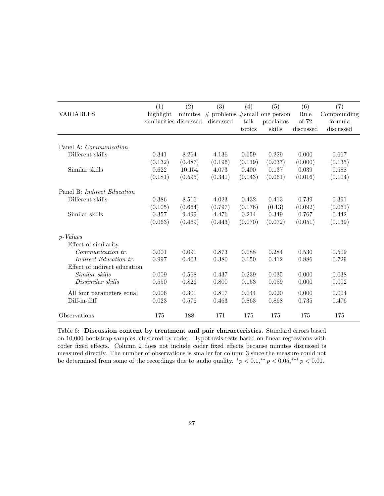|                                    | (1)                    | (2)     | (3)                              | (4)     | (5)       | (6)       | (7)         |
|------------------------------------|------------------------|---------|----------------------------------|---------|-----------|-----------|-------------|
| <b>VARIABLES</b>                   | highlight              | minutes | $#$ problems $#small$ one person |         |           | Rule      | Compounding |
|                                    | similarities discussed |         | discussed                        | talk    | proclaims | of 72     | formula     |
|                                    |                        |         |                                  | topics  | skills    | discussed | discussed   |
|                                    |                        |         |                                  |         |           |           |             |
| Panel A: <i>Communication</i>      |                        |         |                                  |         |           |           |             |
| Different skills                   | 0.341                  | 8.264   | 4.136                            | 0.659   | 0.229     | 0.000     | 0.667       |
|                                    | (0.132)                | (0.487) | (0.196)                          | (0.119) | (0.037)   | (0.000)   | (0.135)     |
| Similar skills                     | 0.622                  | 10.154  | 4.073                            | 0.400   | 0.137     | 0.039     | 0.588       |
|                                    | (0.181)                | (0.595) | (0.341)                          | (0.143) | (0.061)   | (0.016)   | (0.104)     |
| Panel B: <i>Indirect Education</i> |                        |         |                                  |         |           |           |             |
| Different skills                   | 0.386                  | 8.516   | 4.023                            | 0.432   | 0.413     | 0.739     | 0.391       |
|                                    | (0.105)                | (0.664) | (0.797)                          | (0.176) | (0.13)    | (0.092)   | (0.061)     |
| Similar skills                     | 0.357                  | 9.499   | 4.476                            | 0.214   | 0.349     | 0.767     | 0.442       |
|                                    | (0.063)                | (0.469) | (0.443)                          | (0.070) | (0.072)   | (0.051)   | (0.139)     |
| $p-Values$                         |                        |         |                                  |         |           |           |             |
| Effect of similarity               |                        |         |                                  |         |           |           |             |
| Communication tr.                  | 0.001                  | 0.091   | 0.873                            | 0.088   | 0.284     | 0.530     | 0.509       |
| Indirect Education tr.             | 0.997                  | 0.403   | 0.380                            | 0.150   | 0.412     | 0.886     | 0.729       |
| Effect of indirect education       |                        |         |                                  |         |           |           |             |
| Similar skills                     | 0.009                  | 0.568   | 0.437                            | 0.239   | 0.035     | 0.000     | 0.038       |
| Dissimilar skills                  | 0.550                  | 0.826   | 0.800                            | 0.153   | 0.059     | 0.000     | 0.002       |
| All four parameters equal          | 0.006                  | 0.301   | 0.817                            | 0.044   | 0.020     | 0.000     | 0.004       |
| Diff-in-diff                       | 0.023                  | 0.576   | 0.463                            | 0.863   | 0.868     | 0.735     | 0.476       |
| Observations                       | 175                    | 188     | 171                              | 175     | 175       | 175       | 175         |

Table 6: Discussion content by treatment and pair characteristics. Standard errors based on 10,000 bootstrap samples, clustered by coder. Hypothesis tests based on linear regressions with coder fixed effects. Column 2 does not include coder fixed effects because minutes discussed is measured directly. The number of observations is smaller for column 3 since the measure could not be determined from some of the recordings due to audio quality.  $^*p < 0.1, ^{**}p < 0.05, ^{***}p < 0.01$ .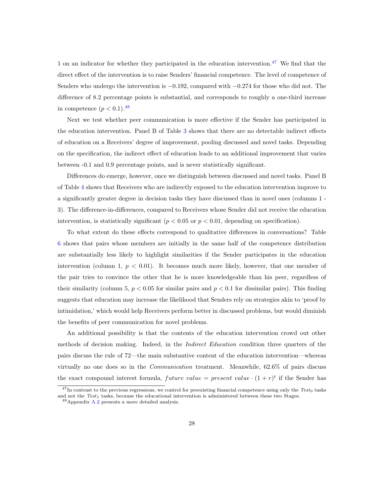1 on an indicator for whether they participated in the education intervention.<sup>47</sup> We find that the direct effect of the intervention is to raise Senders' financial competence. The level of competence of Senders who undergo the intervention is  $-0.192$ , compared with  $-0.274$  for those who did not. The difference of 8.2 percentage points is substantial, and corresponds to roughly a one-third increase in competence  $(p < 0.1).48$ 

Next we test whether peer communication is more effective if the Sender has participated in the education intervention. Panel B of Table  $3$  shows that there are no detectable indirect effects of education on a Receivers' degree of improvement, pooling discussed and novel tasks. Depending on the specification, the indirect effect of education leads to an additional improvement that varies between -0.1 and 0.9 percentage points, and is never statistically significant.

Differences do emerge, however, once we distinguish between discussed and novel tasks. Panel B of Table 4 shows that Receivers who are indirectly exposed to the education intervention improve to a significantly greater degree in decision tasks they have discussed than in novel ones (columns 1 - 3). The difference-in-differences, compared to Receivers whose Sender did not receive the education intervention, is statistically significant ( $p < 0.05$  or  $p < 0.01$ , depending on specification).

To what extent do these effects correspond to qualitative differences in conversations? Table 6 shows that pairs whose members are initially in the same half of the competence distribution are substantially less likely to highlight similarities if the Sender participates in the education intervention (column 1, *p <* 0*.*01). It becomes much more likely, however, that one member of the pair tries to convince the other that he is more knowledgeable than his peer, regardless of their similarity (column 5, *p <* 0*.*05 for similar pairs and *p <* 0*.*1 for dissimilar pairs). This finding suggests that education may increase the likelihood that Senders rely on strategies akin to 'proof by intimidation,' which would help Receivers perform better in discussed problems, but would diminish the benefits of peer communication for novel problems.

An additional possibility is that the contents of the education intervention crowd out other methods of decision making. Indeed, in the *Indirect Education* condition three quarters of the pairs discuss the rule of 72—the main substantive content of the education intervention—whereas virtually no one does so in the *Communication* treatment. Meanwhile, 62.6% of pairs discuss the exact compound interest formula, *future value* = *present value*  $\cdot (1+r)^t$  if the Sender has

 $47$ In contrast to the previous regressions, we control for preexisting financial competence using only the  $Test_0$  tasks and not the *Test*<sup>1</sup> tasks, because the educational intervention is administered between these two Stages. <sup>48</sup>Appendix A.2 presents a more detailed analysis.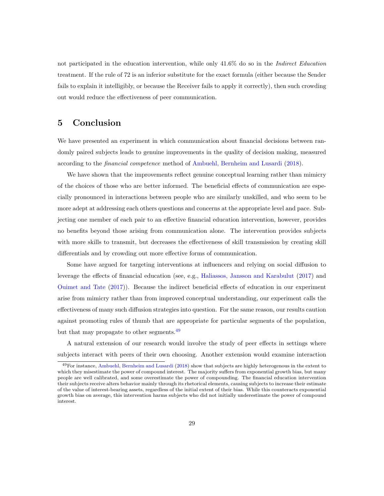not participated in the education intervention, while only 41.6% do so in the *Indirect Education* treatment. If the rule of 72 is an inferior substitute for the exact formula (either because the Sender fails to explain it intelligibly, or because the Receiver fails to apply it correctly), then such crowding out would reduce the effectiveness of peer communication.

### 5 Conclusion

We have presented an experiment in which communication about financial decisions between randomly paired subjects leads to genuine improvements in the quality of decision making, measured according to the *financial competence* method of Ambuehl, Bernheim and Lusardi (2018).

We have shown that the improvements reflect genuine conceptual learning rather than mimicry of the choices of those who are better informed. The beneficial effects of communication are especially pronounced in interactions between people who are similarly unskilled, and who seem to be more adept at addressing each others questions and concerns at the appropriate level and pace. Subjecting one member of each pair to an effective financial education intervention, however, provides no benefits beyond those arising from communication alone. The intervention provides subjects with more skills to transmit, but decreases the effectiveness of skill transmission by creating skill differentials and by crowding out more effective forms of communication.

Some have argued for targeting interventions at influencers and relying on social diffusion to leverage the effects of financial education (see, e.g., Haliassos, Jansson and Karabulut (2017) and Ouimet and Tate  $(2017)$ ). Because the indirect beneficial effects of education in our experiment arise from mimicry rather than from improved conceptual understanding, our experiment calls the effectiveness of many such diffusion strategies into question. For the same reason, our results caution against promoting rules of thumb that are appropriate for particular segments of the population, but that may propagate to other segments.<sup>49</sup>

A natural extension of our research would involve the study of peer effects in settings where subjects interact with peers of their own choosing. Another extension would examine interaction

<sup>49</sup>For instance, Ambuehl, Bernheim and Lusardi (2018) show that subjects are highly heterogenous in the extent to which they misestimate the power of compound interest. The majority suffers from exponential growth bias, but many people are well calibrated, and some overestimate the power of compounding. The financial education intervention their subjects receive alters behavior mainly through its rhetorical elements, causing subjects to increase their estimate of the value of interest-bearing assets, regardless of the initial extent of their bias. While this counteracts exponential growth bias on average, this intervention harms subjects who did not initially underestimate the power of compound interest.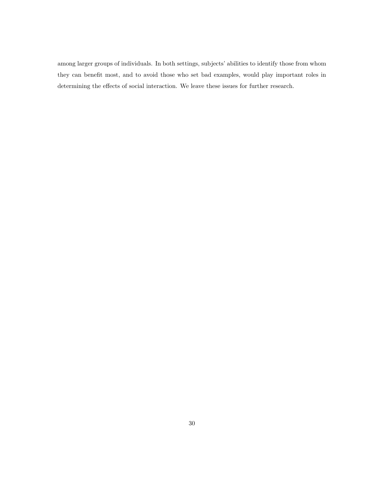among larger groups of individuals. In both settings, subjects' abilities to identify those from whom they can benefit most, and to avoid those who set bad examples, would play important roles in determining the effects of social interaction. We leave these issues for further research.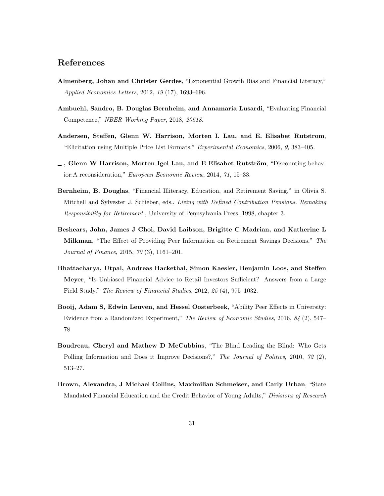# References

- Almenberg, Johan and Christer Gerdes, "Exponential Growth Bias and Financial Literacy," *Applied Economics Letters*, 2012, *19* (17), 1693–696.
- Ambuehl, Sandro, B. Douglas Bernheim, and Annamaria Lusardi, "Evaluating Financial Competence," *NBER Working Paper*, 2018, *20618.*
- Andersen, Steffen, Glenn W. Harrison, Morten I. Lau, and E. Elisabet Rutstrom, "Elicitation using Multiple Price List Formats," *Experimental Economics*, 2006, *9*, 383–405.
- $\overline{\phantom{a}}$ , Glenn W Harrison, Morten Igel Lau, and E Elisabet Rutström, "Discounting behavior:A reconsideration," *European Economic Review*, 2014, *71*, 15–33.
- Bernheim, B. Douglas, "Financial Illiteracy, Education, and Retirement Saving," in Olivia S. Mitchell and Sylvester J. Schieber, eds., *Living with Defined Contribution Pensions. Remaking Responsibility for Retirement.*, University of Pennsylvania Press, 1998, chapter 3.
- Beshears, John, James J Choi, David Laibson, Brigitte C Madrian, and Katherine L Milkman, "The Effect of Providing Peer Information on Retirement Savings Decisions," The *Journal of Finance*, 2015, *70* (3), 1161–201.
- Bhattacharya, Utpal, Andreas Hackethal, Simon Kaesler, Benjamin Loos, and Steffen Meyer, "Is Unbiased Financial Advice to Retail Investors Sufficient? Answers from a Large Field Study," *The Review of Financial Studies*, 2012, *25* (4), 975–1032.
- Booij, Adam S, Edwin Leuven, and Hessel Oosterbeek, "Ability Peer Effects in University: Evidence from a Randomized Experiment," *The Review of Economic Studies*, 2016, *84* (2), 547– 78.
- Boudreau, Cheryl and Mathew D McCubbins, "The Blind Leading the Blind: Who Gets Polling Information and Does it Improve Decisions?," *The Journal of Politics*, 2010, *72* (2), 513–27.
- Brown, Alexandra, J Michael Collins, Maximilian Schmeiser, and Carly Urban, "State Mandated Financial Education and the Credit Behavior of Young Adults," *Divisions of Research*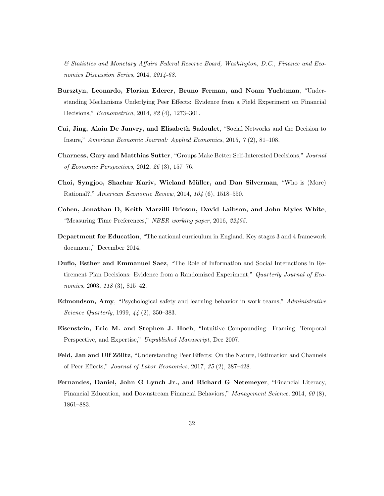$\&$  Statistics and Monetary Affairs Federal Reserve Board, Washington, D.C., Finance and Eco*nomics Discussion Series*, 2014, *2014-68.*

- Bursztyn, Leonardo, Florian Ederer, Bruno Ferman, and Noam Yuchtman, "Understanding Mechanisms Underlying Peer Effects: Evidence from a Field Experiment on Financial Decisions," *Econometrica*, 2014, *82* (4), 1273–301.
- Cai, Jing, Alain De Janvry, and Elisabeth Sadoulet, "Social Networks and the Decision to Insure," *American Economic Journal: Applied Economics*, 2015, *7* (2), 81–108.
- Charness, Gary and Matthias Sutter, "Groups Make Better Self-Interested Decisions," *Journal of Economic Perspectives*, 2012, *26* (3), 157–76.
- Choi, Syngjoo, Shachar Kariv, Wieland Müller, and Dan Silverman, "Who is (More) Rational?," *American Economic Review*, 2014, *104* (6), 1518–550.
- Cohen, Jonathan D, Keith Marzilli Ericson, David Laibson, and John Myles White, "Measuring Time Preferences," *NBER working paper*, 2016, *22455.*
- Department for Education, "The national curriculum in England. Key stages 3 and 4 framework document," December 2014.
- Duflo, Esther and Emmanuel Saez, "The Role of Information and Social Interactions in Retirement Plan Decisions: Evidence from a Randomized Experiment," *Quarterly Journal of Economics*, 2003, *118* (3), 815–42.
- Edmondson, Amy, "Psychological safety and learning behavior in work teams," *Administrative Science Quarterly*, 1999, *44* (2), 350–383.
- Eisenstein, Eric M. and Stephen J. Hoch, "Intuitive Compounding: Framing, Temporal Perspective, and Expertise," *Unpublished Manuscript*, Dec 2007.
- Feld, Jan and Ulf Zölitz, "Understanding Peer Effects: On the Nature, Estimation and Channels of Peer E↵ects," *Journal of Labor Economics*, 2017, *35* (2), 387–428.
- Fernandes, Daniel, John G Lynch Jr., and Richard G Netemeyer, "Financial Literacy, Financial Education, and Downstream Financial Behaviors," *Management Science*, 2014, *60* (8), 1861–883.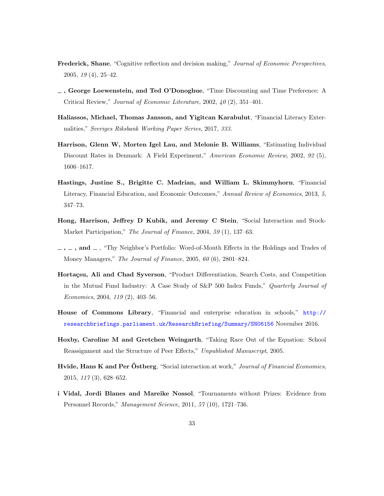- Frederick, Shane, "Cognitive reflection and decision making," *Journal of Economic Perspectives*, 2005, *19* (4), 25–42.
- , George Loewenstein, and Ted O'Donoghue, "Time Discounting and Time Preference: A Critical Review," *Journal of Economic Literature*, 2002, *40* (2), 351–401.
- Haliassos, Michael, Thomas Jansson, and Yigitcan Karabulut, "Financial Literacy Externalities," *Sveriges Riksbank Working Paper Series*, 2017, *333.*
- Harrison, Glenn W, Morten Igel Lau, and Melonie B. Williams, "Estimating Individual Discount Rates in Denmark: A Field Experiment," *American Economic Review*, 2002, *92* (5), 1606–1617.
- Hastings, Justine S., Brigitte C. Madrian, and William L. Skimmyhorn, "Financial Literacy, Financial Education, and Economic Outcomes," *Annual Review of Economics*, 2013, *5*, 347–73.
- Hong, Harrison, Jeffrey D Kubik, and Jeremy C Stein, "Social Interaction and Stock-Market Participation," *The Journal of Finance*, 2004, *59* (1), 137–63.
- $\ldots$ , and  $\ldots$ , "Thy Neighbor's Portfolio: Word-of-Mouth Effects in the Holdings and Trades of Money Managers," *The Journal of Finance*, 2005, *60* (6), 2801–824.
- Hortaçsu, Ali and Chad Syverson, "Product Differentiation, Search Costs, and Competition in the Mutual Fund Industry: A Case Study of S&P 500 Index Funds," *Quarterly Journal of Economics*, 2004, *119* (2), 403–56.
- House of Commons Library, "Financial and enterprise education in schools," http:// researchbriefings.parliament.uk/ResearchBriefing/Summary/SN06156 November 2016.
- Hoxby, Caroline M and Gretchen Weingarth, "Taking Race Out of the Equation: School Reassignment and the Structure of Peer Effects," *Unpublished Manuscript*, 2005.
- Hvide, Hans K and Per Ostberg, "Social interaction at work," *Journal of Financial Economics*, 2015, *117* (3), 628–652.
- i Vidal, Jordi Blanes and Mareike Nossol, "Tournaments without Prizes: Evidence from Personnel Records," *Management Science*, 2011, *57* (10), 1721–736.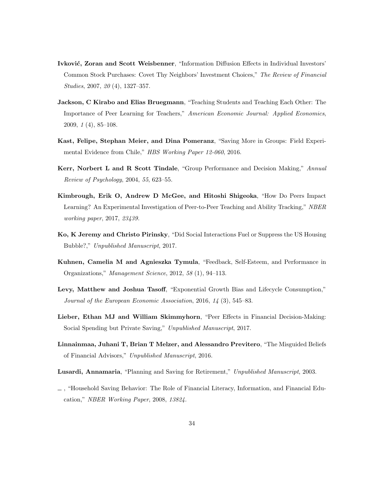- Ivković, Zoran and Scott Weisbenner, "Information Diffusion Effects in Individual Investors' Common Stock Purchases: Covet Thy Neighbors' Investment Choices," *The Review of Financial Studies*, 2007, *20* (4), 1327–357.
- Jackson, C Kirabo and Elias Bruegmann, "Teaching Students and Teaching Each Other: The Importance of Peer Learning for Teachers," *American Economic Journal: Applied Economics*, 2009, *1* (4), 85–108.
- Kast, Felipe, Stephan Meier, and Dina Pomeranz, "Saving More in Groups: Field Experimental Evidence from Chile," *HBS Working Paper 12-060*, 2016.
- Kerr, Norbert L and R Scott Tindale, "Group Performance and Decision Making," *Annual Review of Psychology*, 2004, *55*, 623–55.
- Kimbrough, Erik O, Andrew D McGee, and Hitoshi Shigeoka, "How Do Peers Impact Learning? An Experimental Investigation of Peer-to-Peer Teaching and Ability Tracking," *NBER working paper*, 2017, *23439.*
- Ko, K Jeremy and Christo Pirinsky, "Did Social Interactions Fuel or Suppress the US Housing Bubble?," *Unpublished Manuscript*, 2017.
- Kuhnen, Camelia M and Agnieszka Tymula, "Feedback, Self-Esteem, and Performance in Organizations," *Management Science*, 2012, *58* (1), 94–113.
- Levy, Matthew and Joshua Tasoff, "Exponential Growth Bias and Lifecycle Consumption," *Journal of the European Economic Association*, 2016, *14* (3), 545–83.
- Lieber, Ethan MJ and William Skimmyhorn, "Peer Effects in Financial Decision-Making: Social Spending but Private Saving," *Unpublished Manuscript*, 2017.
- Linnainmaa, Juhani T, Brian T Melzer, and Alessandro Previtero, "The Misguided Beliefs of Financial Advisors," *Unpublished Manuscript*, 2016.
- Lusardi, Annamaria, "Planning and Saving for Retirement," *Unpublished Manuscript*, 2003.
- , "Household Saving Behavior: The Role of Financial Literacy, Information, and Financial Education," *NBER Working Paper*, 2008, *13824.*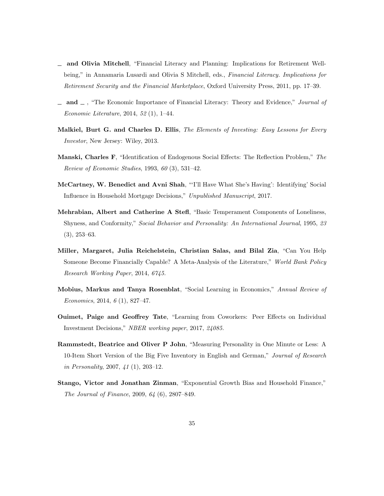- and Olivia Mitchell, "Financial Literacy and Planning: Implications for Retirement Wellbeing," in Annamaria Lusardi and Olivia S Mitchell, eds., *Financial Literacy. Implications for Retirement Security and the Financial Marketplace*, Oxford University Press, 2011, pp. 17–39.
- and , "The Economic Importance of Financial Literacy: Theory and Evidence," *Journal of Economic Literature*, 2014, *52* (1), 1–44.
- Malkiel, Burt G. and Charles D. Ellis, *The Elements of Investing: Easy Lessons for Every Investor*, New Jersey: Wiley, 2013.
- Manski, Charles F, "Identification of Endogenous Social Effects: The Reflection Problem," The *Review of Economic Studies*, 1993, *60* (3), 531–42.
- McCartney, W. Benedict and Avni Shah, "'I'll Have What She's Having': Identifying' Social Influence in Household Mortgage Decisions," *Unpublished Manuscript*, 2017.
- Mehrabian, Albert and Catherine A Stefl, "Basic Temperament Components of Loneliness, Shyness, and Conformity," *Social Behavior and Personality: An International Journal*, 1995, *23* (3), 253–63.
- Miller, Margaret, Julia Reichelstein, Christian Salas, and Bilal Zia, "Can You Help Someone Become Financially Capable? A Meta-Analysis of the Literature," *World Bank Policy Research Working Paper*, 2014, *6745.*
- Mobius, Markus and Tanya Rosenblat, "Social Learning in Economics," *Annual Review of Economics*, 2014, *6* (1), 827–47.
- Ouimet, Paige and Geoffrey Tate, "Learning from Coworkers: Peer Effects on Individual Investment Decisions," *NBER working paper*, 2017, *24085.*
- Rammstedt, Beatrice and Oliver P John, "Measuring Personality in One Minute or Less: A 10-Item Short Version of the Big Five Inventory in English and German," *Journal of Research in Personality*, 2007, *41* (1), 203–12.
- Stango, Victor and Jonathan Zinman, "Exponential Growth Bias and Household Finance," *The Journal of Finance*, 2009, *64* (6), 2807–849.